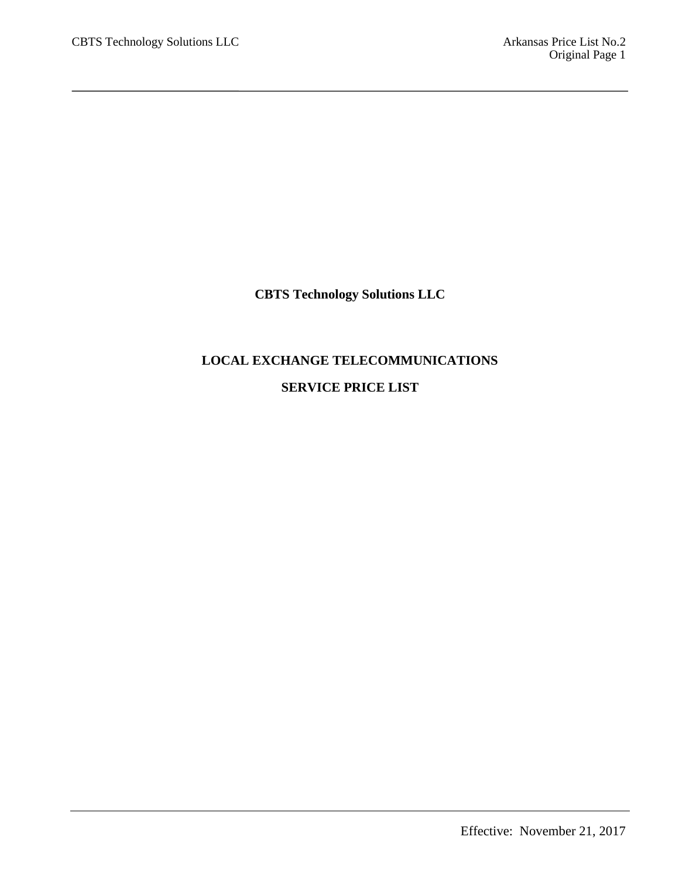**CBTS Technology Solutions LLC**

# **LOCAL EXCHANGE TELECOMMUNICATIONS SERVICE PRICE LIST**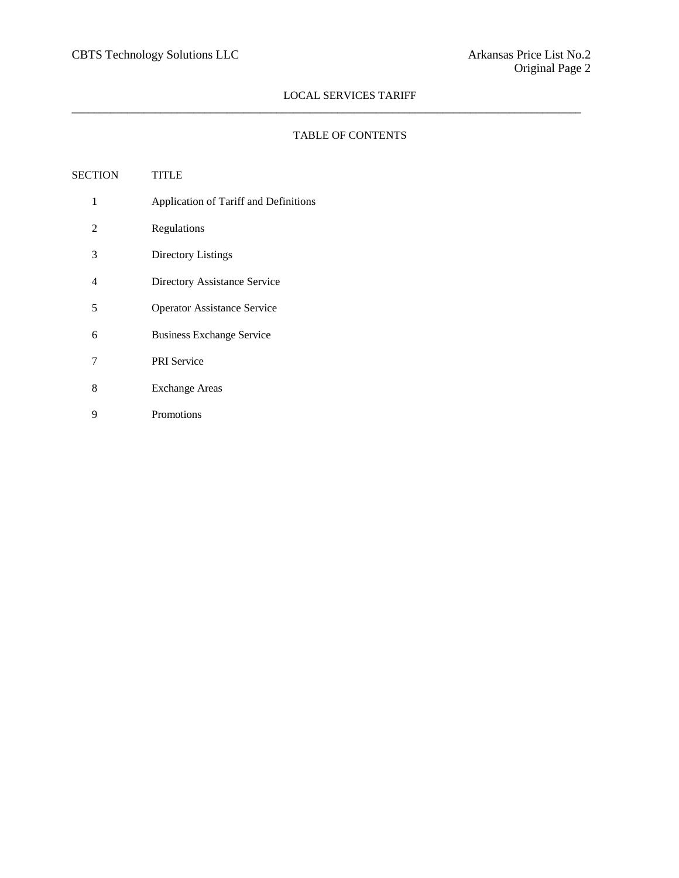$\_$  ,  $\_$  ,  $\_$  ,  $\_$  ,  $\_$  ,  $\_$  ,  $\_$  ,  $\_$  ,  $\_$  ,  $\_$  ,  $\_$  ,  $\_$  ,  $\_$  ,  $\_$  ,  $\_$  ,  $\_$  ,  $\_$  ,  $\_$  ,  $\_$  ,  $\_$  ,  $\_$  ,  $\_$  ,  $\_$  ,  $\_$  ,  $\_$  ,  $\_$  ,  $\_$  ,  $\_$  ,  $\_$  ,  $\_$  ,  $\_$  ,  $\_$  ,  $\_$  ,  $\_$  ,  $\_$  ,  $\_$  ,  $\_$  ,

## TABLE OF CONTENTS

| SECTION        | <b>TITLE</b>                          |
|----------------|---------------------------------------|
| 1              | Application of Tariff and Definitions |
| $\overline{2}$ | Regulations                           |
| 3              | Directory Listings                    |
| 4              | Directory Assistance Service          |
| 5              | <b>Operator Assistance Service</b>    |
| 6              | <b>Business Exchange Service</b>      |
| 7              | <b>PRI</b> Service                    |
| 8              | <b>Exchange Areas</b>                 |
| 9              | Promotions                            |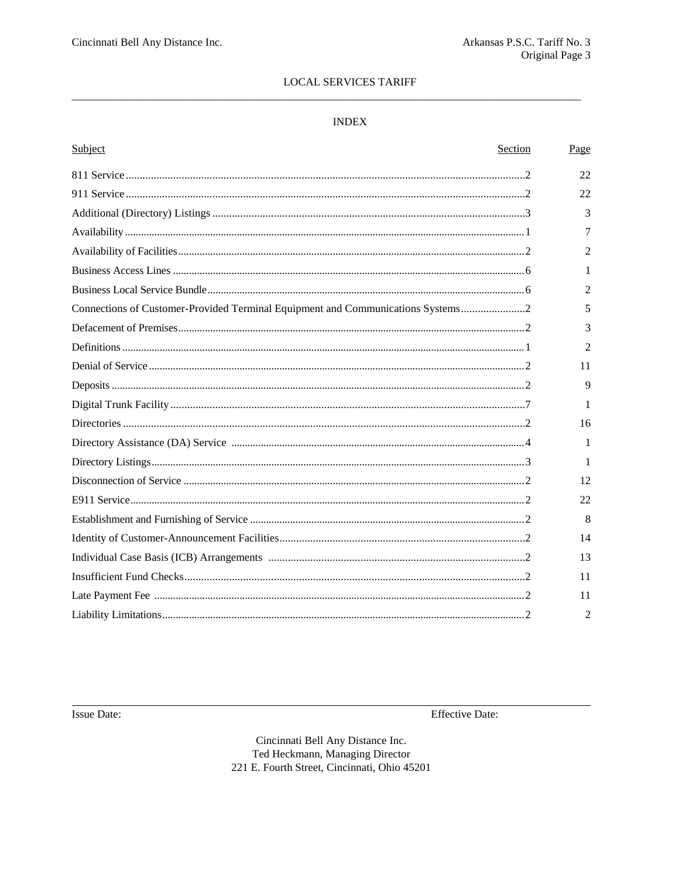## $\ensuremath{\mathsf{INDEX}}$

| Subject                                                                         | Section | Page           |
|---------------------------------------------------------------------------------|---------|----------------|
|                                                                                 |         | 22             |
|                                                                                 |         | 22             |
|                                                                                 |         | 3              |
|                                                                                 |         | 7              |
|                                                                                 |         | $\overline{2}$ |
|                                                                                 |         | 1              |
|                                                                                 |         | $\overline{2}$ |
| Connections of Customer-Provided Terminal Equipment and Communications Systems2 |         | 5              |
|                                                                                 |         | 3              |
|                                                                                 |         | $\overline{2}$ |
|                                                                                 |         | 11             |
|                                                                                 |         | $\mathbf{Q}$   |
|                                                                                 |         | 1              |
|                                                                                 |         | 16             |
|                                                                                 |         | 1              |
|                                                                                 |         | 1              |
|                                                                                 |         | 12             |
|                                                                                 |         | 22             |
|                                                                                 |         | 8              |
|                                                                                 |         | 14             |
|                                                                                 |         | 13             |
|                                                                                 |         | 11             |
|                                                                                 |         | 11             |
|                                                                                 |         | $\overline{2}$ |

Issue Date:

**Effective Date:**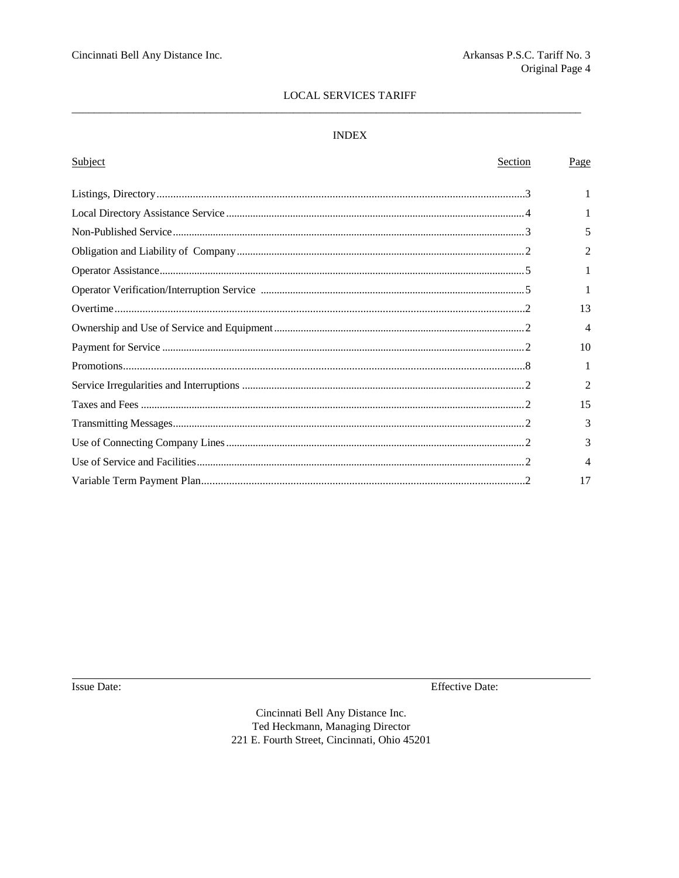## **INDEX**

| Subject<br>Section | Page           |
|--------------------|----------------|
|                    |                |
|                    | 1              |
|                    | 5              |
|                    | $\mathfrak{D}$ |
|                    |                |
|                    |                |
|                    | 13             |
|                    | 4              |
|                    | 10             |
|                    |                |
|                    | $\mathfrak{D}$ |
|                    | 15             |
|                    | 3              |
|                    | 3              |
|                    | 4              |
|                    | 17             |

Issue Date:

**Effective Date:**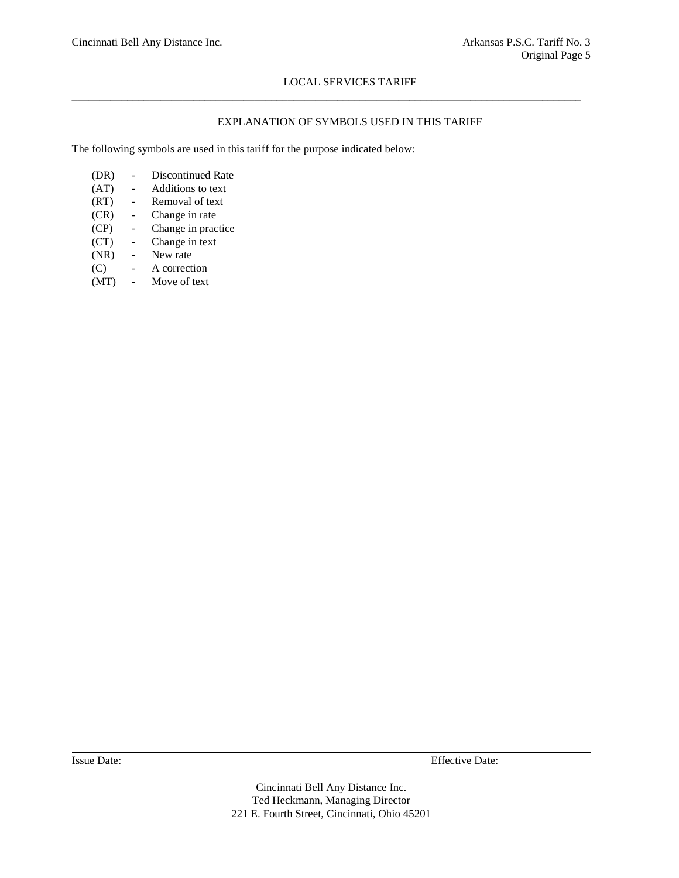$\_$  ,  $\_$  ,  $\_$  ,  $\_$  ,  $\_$  ,  $\_$  ,  $\_$  ,  $\_$  ,  $\_$  ,  $\_$  ,  $\_$  ,  $\_$  ,  $\_$  ,  $\_$  ,  $\_$  ,  $\_$  ,  $\_$  ,  $\_$  ,  $\_$  ,  $\_$  ,  $\_$  ,  $\_$  ,  $\_$  ,  $\_$  ,  $\_$  ,  $\_$  ,  $\_$  ,  $\_$  ,  $\_$  ,  $\_$  ,  $\_$  ,  $\_$  ,  $\_$  ,  $\_$  ,  $\_$  ,  $\_$  ,  $\_$  ,

## EXPLANATION OF SYMBOLS USED IN THIS TARIFF

The following symbols are used in this tariff for the purpose indicated below:

- (DR) Discontinued Rate
- (AT) Additions to text
- (RT) Removal of text
- (CR) Change in rate
- (CP) Change in practice
- (CT) Change in text
- (NR) New rate
- (C) A correction
- (MT) Move of text

Issue Date: Effective Date: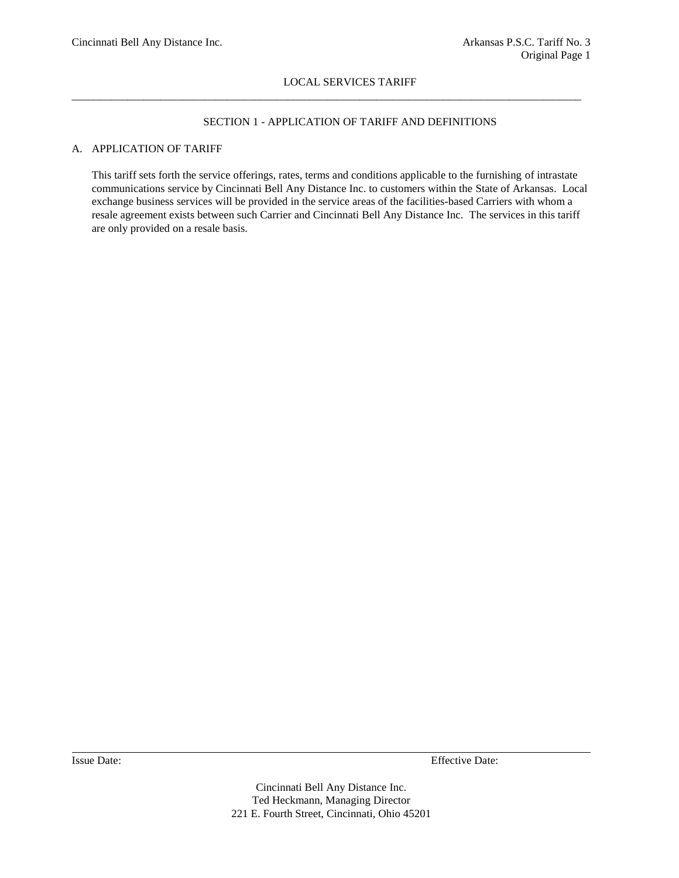$\_$  ,  $\_$  ,  $\_$  ,  $\_$  ,  $\_$  ,  $\_$  ,  $\_$  ,  $\_$  ,  $\_$  ,  $\_$  ,  $\_$  ,  $\_$  ,  $\_$  ,  $\_$  ,  $\_$  ,  $\_$  ,  $\_$  ,  $\_$  ,  $\_$  ,  $\_$  ,  $\_$  ,  $\_$  ,  $\_$  ,  $\_$  ,  $\_$  ,  $\_$  ,  $\_$  ,  $\_$  ,  $\_$  ,  $\_$  ,  $\_$  ,  $\_$  ,  $\_$  ,  $\_$  ,  $\_$  ,  $\_$  ,  $\_$  ,

## SECTION 1 - APPLICATION OF TARIFF AND DEFINITIONS

## A. APPLICATION OF TARIFF

This tariff sets forth the service offerings, rates, terms and conditions applicable to the furnishing of intrastate communications service by Cincinnati Bell Any Distance Inc. to customers within the State of Arkansas. Local exchange business services will be provided in the service areas of the facilities-based Carriers with whom a resale agreement exists between such Carrier and Cincinnati Bell Any Distance Inc. The services in this tariff are only provided on a resale basis.

Issue Date: Effective Date: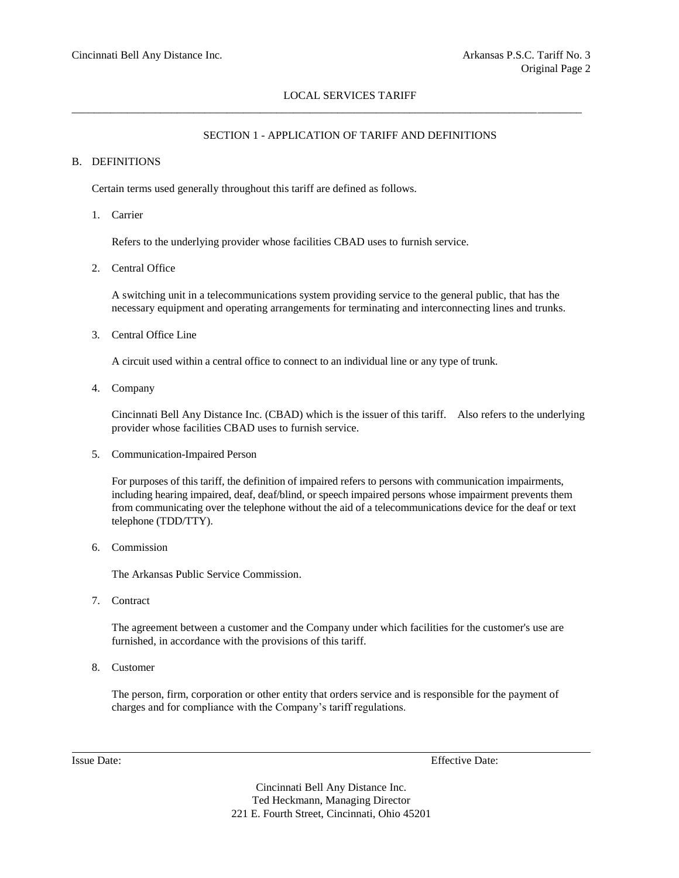\_\_\_\_\_\_\_\_\_\_\_\_\_\_\_\_\_\_\_\_\_\_\_\_\_\_\_\_\_\_\_\_\_\_\_\_\_\_\_\_\_\_\_\_\_\_\_\_\_\_\_\_\_\_\_\_\_\_\_\_\_\_\_\_\_\_\_\_\_\_\_\_\_\_\_\_\_\_\_\_\_\_\_\_\_\_\_\_\_\_\_\_

## SECTION 1 - APPLICATION OF TARIFF AND DEFINITIONS

## B. DEFINITIONS

Certain terms used generally throughout this tariff are defined as follows.

1. Carrier

Refers to the underlying provider whose facilities CBAD uses to furnish service.

2. Central Office

A switching unit in a telecommunications system providing service to the general public, that has the necessary equipment and operating arrangements for terminating and interconnecting lines and trunks.

3. Central Office Line

A circuit used within a central office to connect to an individual line or any type of trunk.

4. Company

Cincinnati Bell Any Distance Inc. (CBAD) which is the issuer of this tariff. Also refers to the underlying provider whose facilities CBAD uses to furnish service.

5. Communication-Impaired Person

For purposes of this tariff, the definition of impaired refers to persons with communication impairments, including hearing impaired, deaf, deaf/blind, or speech impaired persons whose impairment prevents them from communicating over the telephone without the aid of a telecommunications device for the deaf or text telephone (TDD/TTY).

6. Commission

The Arkansas Public Service Commission.

7. Contract

The agreement between a customer and the Company under which facilities for the customer's use are furnished, in accordance with the provisions of this tariff.

8. Customer

The person, firm, corporation or other entity that orders service and is responsible for the payment of charges and for compliance with the Company's tariff regulations.

Issue Date: Effective Date: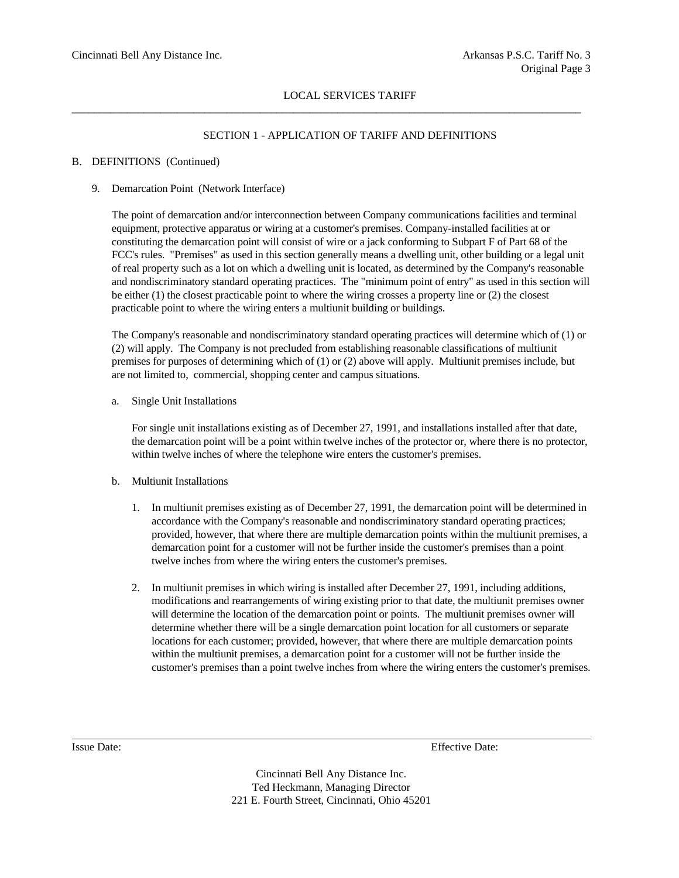$\_$  ,  $\_$  ,  $\_$  ,  $\_$  ,  $\_$  ,  $\_$  ,  $\_$  ,  $\_$  ,  $\_$  ,  $\_$  ,  $\_$  ,  $\_$  ,  $\_$  ,  $\_$  ,  $\_$  ,  $\_$  ,  $\_$  ,  $\_$  ,  $\_$  ,  $\_$  ,  $\_$  ,  $\_$  ,  $\_$  ,  $\_$  ,  $\_$  ,  $\_$  ,  $\_$  ,  $\_$  ,  $\_$  ,  $\_$  ,  $\_$  ,  $\_$  ,  $\_$  ,  $\_$  ,  $\_$  ,  $\_$  ,  $\_$  ,

## SECTION 1 - APPLICATION OF TARIFF AND DEFINITIONS

## B. DEFINITIONS (Continued)

#### 9. Demarcation Point (Network Interface)

The point of demarcation and/or interconnection between Company communications facilities and terminal equipment, protective apparatus or wiring at a customer's premises. Company-installed facilities at or constituting the demarcation point will consist of wire or a jack conforming to Subpart F of Part 68 of the FCC's rules. "Premises" as used in this section generally means a dwelling unit, other building or a legal unit of real property such as a lot on which a dwelling unit is located, as determined by the Company's reasonable and nondiscriminatory standard operating practices. The "minimum point of entry" as used in this section will be either (1) the closest practicable point to where the wiring crosses a property line or (2) the closest practicable point to where the wiring enters a multiunit building or buildings.

The Company's reasonable and nondiscriminatory standard operating practices will determine which of (1) or (2) will apply. The Company is not precluded from establishing reasonable classifications of multiunit premises for purposes of determining which of (1) or (2) above will apply. Multiunit premises include, but are not limited to, commercial, shopping center and campus situations.

a. Single Unit Installations

For single unit installations existing as of December 27, 1991, and installations installed after that date, the demarcation point will be a point within twelve inches of the protector or, where there is no protector, within twelve inches of where the telephone wire enters the customer's premises.

#### b. Multiunit Installations

- 1. In multiunit premises existing as of December 27, 1991, the demarcation point will be determined in accordance with the Company's reasonable and nondiscriminatory standard operating practices; provided, however, that where there are multiple demarcation points within the multiunit premises, a demarcation point for a customer will not be further inside the customer's premises than a point twelve inches from where the wiring enters the customer's premises.
- 2. In multiunit premises in which wiring is installed after December 27, 1991, including additions, modifications and rearrangements of wiring existing prior to that date, the multiunit premises owner will determine the location of the demarcation point or points. The multiunit premises owner will determine whether there will be a single demarcation point location for all customers or separate locations for each customer; provided, however, that where there are multiple demarcation points within the multiunit premises, a demarcation point for a customer will not be further inside the customer's premises than a point twelve inches from where the wiring enters the customer's premises.

Issue Date: Effective Date: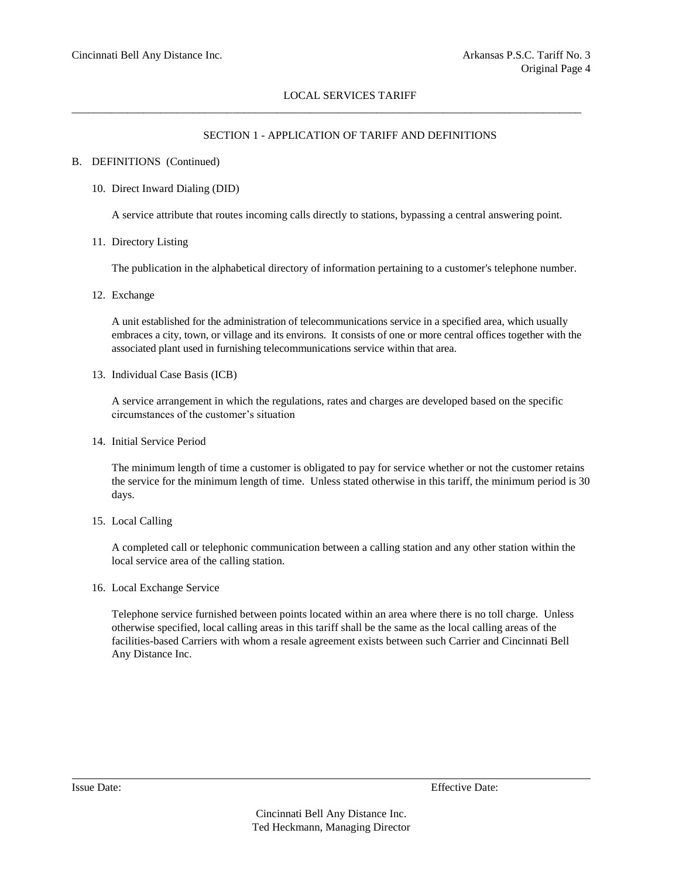$\_$  ,  $\_$  ,  $\_$  ,  $\_$  ,  $\_$  ,  $\_$  ,  $\_$  ,  $\_$  ,  $\_$  ,  $\_$  ,  $\_$  ,  $\_$  ,  $\_$  ,  $\_$  ,  $\_$  ,  $\_$  ,  $\_$  ,  $\_$  ,  $\_$  ,  $\_$  ,  $\_$  ,  $\_$  ,  $\_$  ,  $\_$  ,  $\_$  ,  $\_$  ,  $\_$  ,  $\_$  ,  $\_$  ,  $\_$  ,  $\_$  ,  $\_$  ,  $\_$  ,  $\_$  ,  $\_$  ,  $\_$  ,  $\_$  ,

## SECTION 1 - APPLICATION OF TARIFF AND DEFINITIONS

#### B. DEFINITIONS (Continued)

#### 10. Direct Inward Dialing (DID)

A service attribute that routes incoming calls directly to stations, bypassing a central answering point.

11. Directory Listing

The publication in the alphabetical directory of information pertaining to a customer's telephone number.

12. Exchange

A unit established for the administration of telecommunications service in a specified area, which usually embraces a city, town, or village and its environs. It consists of one or more central offices together with the associated plant used in furnishing telecommunications service within that area.

13. Individual Case Basis (ICB)

A service arrangement in which the regulations, rates and charges are developed based on the specific circumstances of the customer's situation

14. Initial Service Period

The minimum length of time a customer is obligated to pay for service whether or not the customer retains the service for the minimum length of time. Unless stated otherwise in this tariff, the minimum period is 30 days.

15. Local Calling

A completed call or telephonic communication between a calling station and any other station within the local service area of the calling station.

16. Local Exchange Service

Telephone service furnished between points located within an area where there is no toll charge. Unless otherwise specified, local calling areas in this tariff shall be the same as the local calling areas of the facilities-based Carriers with whom a resale agreement exists between such Carrier and Cincinnati Bell Any Distance Inc.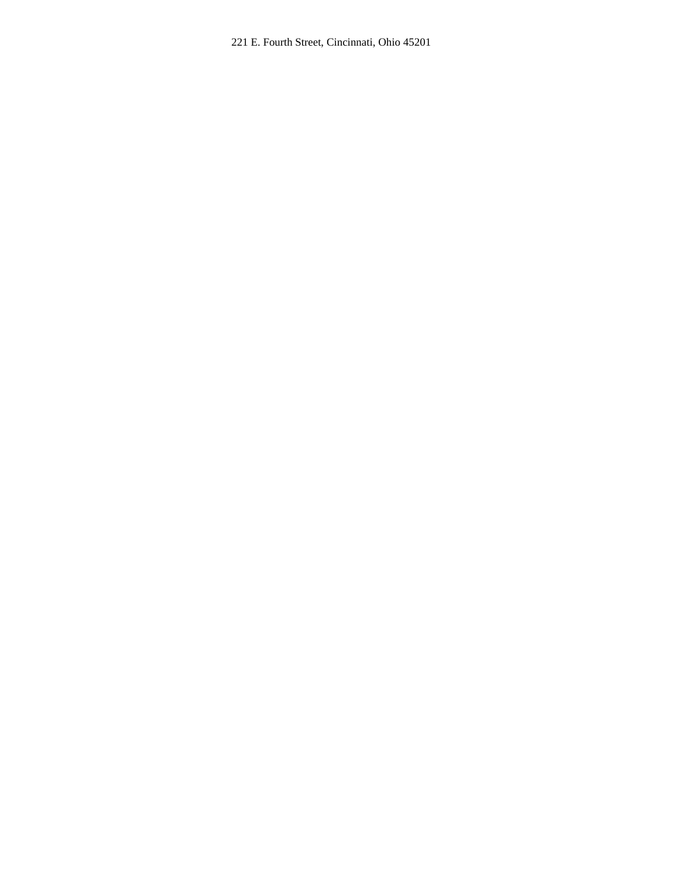221 E. Fourth Street, Cincinnati, Ohio 45201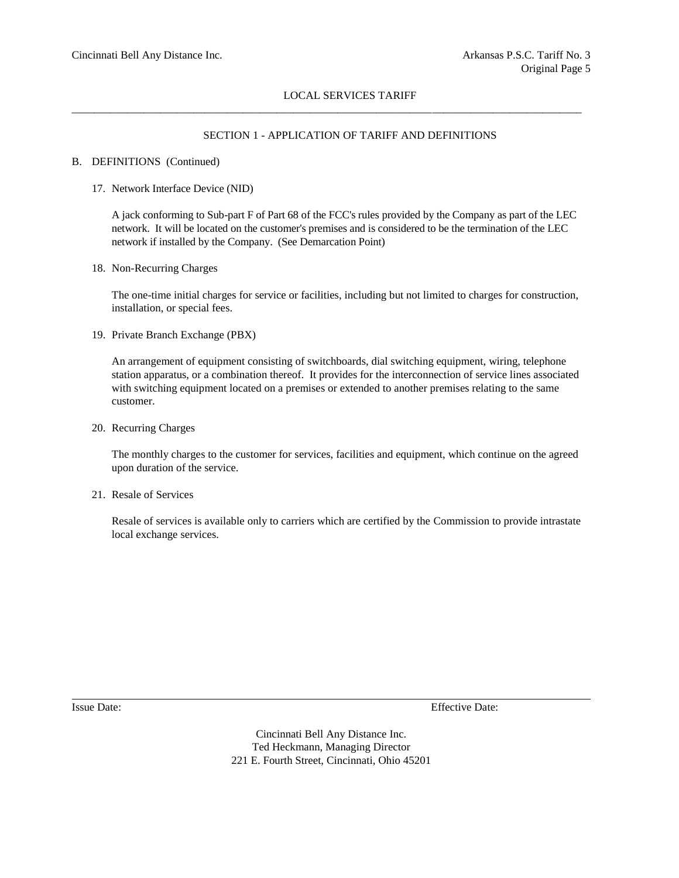\_\_\_\_\_\_\_\_\_\_\_\_\_\_\_\_\_\_\_\_\_\_\_\_\_\_\_\_\_\_\_\_\_\_\_\_\_\_\_\_\_\_\_\_\_\_\_\_\_\_\_\_\_\_\_\_\_\_\_\_\_\_\_\_\_\_\_\_\_\_\_\_\_\_\_\_\_\_\_\_\_\_\_\_\_\_\_\_\_\_\_\_

## SECTION 1 - APPLICATION OF TARIFF AND DEFINITIONS

## B. DEFINITIONS (Continued)

17. Network Interface Device (NID)

A jack conforming to Sub-part F of Part 68 of the FCC's rules provided by the Company as part of the LEC network. It will be located on the customer's premises and is considered to be the termination of the LEC network if installed by the Company. (See Demarcation Point)

18. Non-Recurring Charges

The one-time initial charges for service or facilities, including but not limited to charges for construction, installation, or special fees.

19. Private Branch Exchange (PBX)

An arrangement of equipment consisting of switchboards, dial switching equipment, wiring, telephone station apparatus, or a combination thereof. It provides for the interconnection of service lines associated with switching equipment located on a premises or extended to another premises relating to the same customer.

20. Recurring Charges

The monthly charges to the customer for services, facilities and equipment, which continue on the agreed upon duration of the service.

21. Resale of Services

Resale of services is available only to carriers which are certified by the Commission to provide intrastate local exchange services.

Issue Date: Effective Date: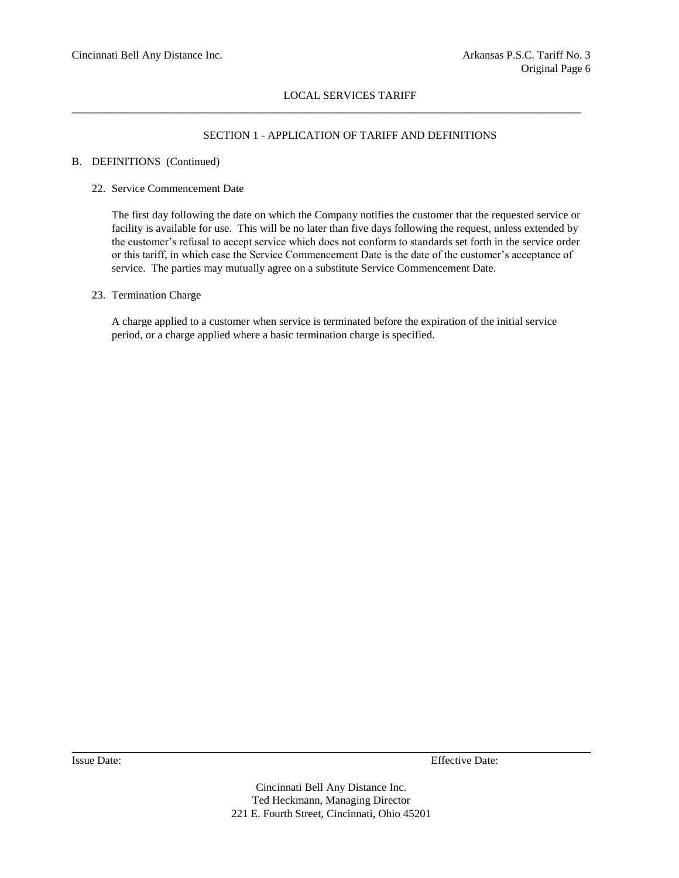$\_$  ,  $\_$  ,  $\_$  ,  $\_$  ,  $\_$  ,  $\_$  ,  $\_$  ,  $\_$  ,  $\_$  ,  $\_$  ,  $\_$  ,  $\_$  ,  $\_$  ,  $\_$  ,  $\_$  ,  $\_$  ,  $\_$  ,  $\_$  ,  $\_$  ,  $\_$  ,  $\_$  ,  $\_$  ,  $\_$  ,  $\_$  ,  $\_$  ,  $\_$  ,  $\_$  ,  $\_$  ,  $\_$  ,  $\_$  ,  $\_$  ,  $\_$  ,  $\_$  ,  $\_$  ,  $\_$  ,  $\_$  ,  $\_$  ,

## SECTION 1 - APPLICATION OF TARIFF AND DEFINITIONS

## B. DEFINITIONS (Continued)

### 22. Service Commencement Date

The first day following the date on which the Company notifies the customer that the requested service or facility is available for use. This will be no later than five days following the request, unless extended by the customer's refusal to accept service which does not conform to standards set forth in the service order or this tariff, in which case the Service Commencement Date is the date of the customer's acceptance of service. The parties may mutually agree on a substitute Service Commencement Date.

#### 23. Termination Charge

A charge applied to a customer when service is terminated before the expiration of the initial service period, or a charge applied where a basic termination charge is specified.

Issue Date: Effective Date: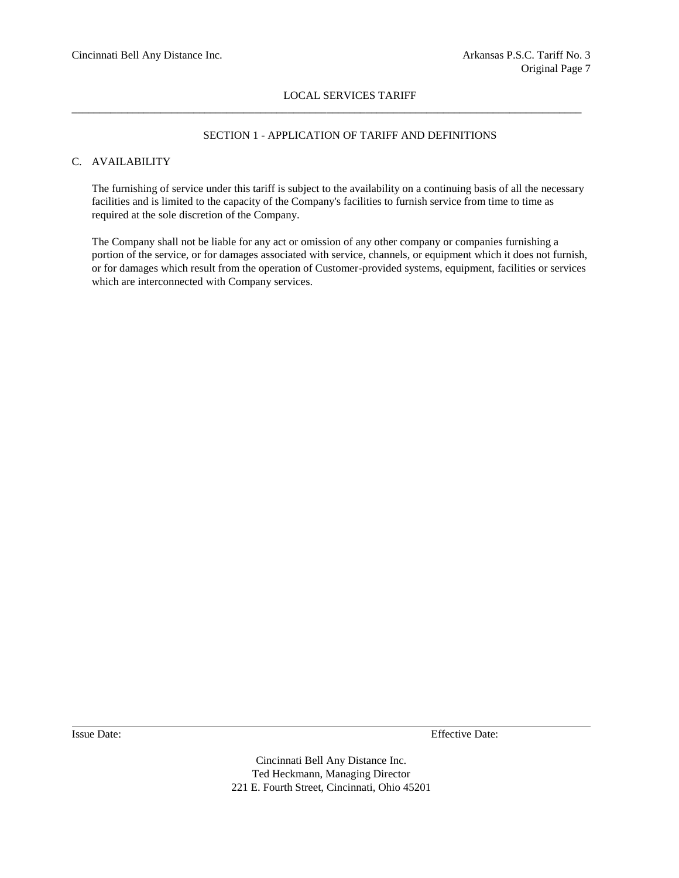$\_$  ,  $\_$  ,  $\_$  ,  $\_$  ,  $\_$  ,  $\_$  ,  $\_$  ,  $\_$  ,  $\_$  ,  $\_$  ,  $\_$  ,  $\_$  ,  $\_$  ,  $\_$  ,  $\_$  ,  $\_$  ,  $\_$  ,  $\_$  ,  $\_$  ,  $\_$  ,  $\_$  ,  $\_$  ,  $\_$  ,  $\_$  ,  $\_$  ,  $\_$  ,  $\_$  ,  $\_$  ,  $\_$  ,  $\_$  ,  $\_$  ,  $\_$  ,  $\_$  ,  $\_$  ,  $\_$  ,  $\_$  ,  $\_$  ,

## SECTION 1 - APPLICATION OF TARIFF AND DEFINITIONS

## C. AVAILABILITY

The furnishing of service under this tariff is subject to the availability on a continuing basis of all the necessary facilities and is limited to the capacity of the Company's facilities to furnish service from time to time as required at the sole discretion of the Company.

The Company shall not be liable for any act or omission of any other company or companies furnishing a portion of the service, or for damages associated with service, channels, or equipment which it does not furnish, or for damages which result from the operation of Customer-provided systems, equipment, facilities or services which are interconnected with Company services.

Issue Date: Effective Date: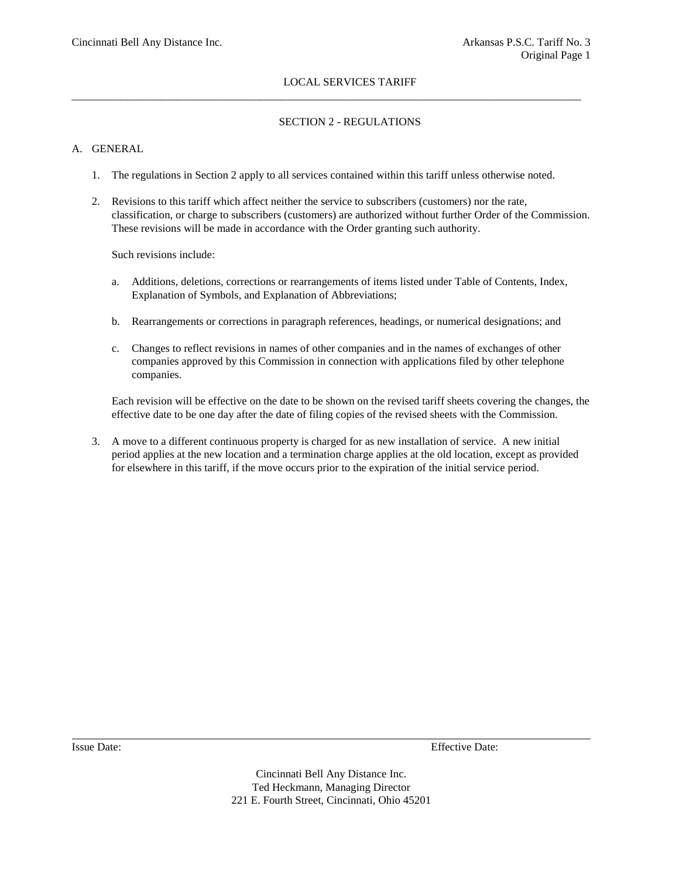## SECTION 2 - REGULATIONS

## A. GENERAL

1. The regulations in Section 2 apply to all services contained within this tariff unless otherwise noted.

 $\_$  ,  $\_$  ,  $\_$  ,  $\_$  ,  $\_$  ,  $\_$  ,  $\_$  ,  $\_$  ,  $\_$  ,  $\_$  ,  $\_$  ,  $\_$  ,  $\_$  ,  $\_$  ,  $\_$  ,  $\_$  ,  $\_$  ,  $\_$  ,  $\_$  ,  $\_$  ,  $\_$  ,  $\_$  ,  $\_$  ,  $\_$  ,  $\_$  ,  $\_$  ,  $\_$  ,  $\_$  ,  $\_$  ,  $\_$  ,  $\_$  ,  $\_$  ,  $\_$  ,  $\_$  ,  $\_$  ,  $\_$  ,  $\_$  ,

2. Revisions to this tariff which affect neither the service to subscribers (customers) nor the rate, classification, or charge to subscribers (customers) are authorized without further Order of the Commission. These revisions will be made in accordance with the Order granting such authority.

Such revisions include:

- a. Additions, deletions, corrections or rearrangements of items listed under Table of Contents, Index, Explanation of Symbols, and Explanation of Abbreviations;
- b. Rearrangements or corrections in paragraph references, headings, or numerical designations; and
- c. Changes to reflect revisions in names of other companies and in the names of exchanges of other companies approved by this Commission in connection with applications filed by other telephone companies.

Each revision will be effective on the date to be shown on the revised tariff sheets covering the changes, the effective date to be one day after the date of filing copies of the revised sheets with the Commission.

3. A move to a different continuous property is charged for as new installation of service. A new initial period applies at the new location and a termination charge applies at the old location, except as provided for elsewhere in this tariff, if the move occurs prior to the expiration of the initial service period.

Issue Date: Effective Date: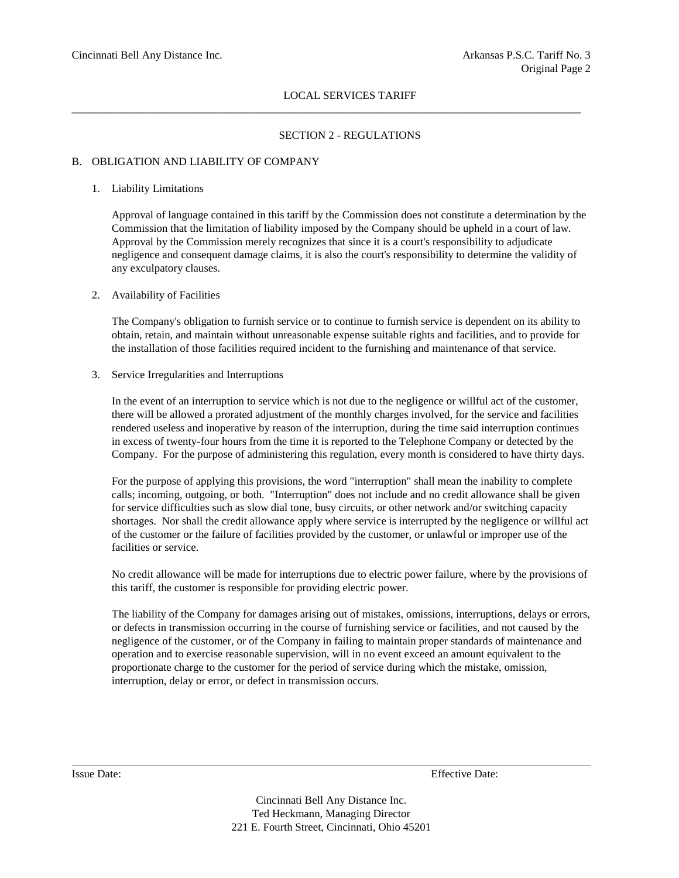$\_$  ,  $\_$  ,  $\_$  ,  $\_$  ,  $\_$  ,  $\_$  ,  $\_$  ,  $\_$  ,  $\_$  ,  $\_$  ,  $\_$  ,  $\_$  ,  $\_$  ,  $\_$  ,  $\_$  ,  $\_$  ,  $\_$  ,  $\_$  ,  $\_$  ,  $\_$  ,  $\_$  ,  $\_$  ,  $\_$  ,  $\_$  ,  $\_$  ,  $\_$  ,  $\_$  ,  $\_$  ,  $\_$  ,  $\_$  ,  $\_$  ,  $\_$  ,  $\_$  ,  $\_$  ,  $\_$  ,  $\_$  ,  $\_$  ,

## SECTION 2 - REGULATIONS

## B. OBLIGATION AND LIABILITY OF COMPANY

#### 1. Liability Limitations

Approval of language contained in this tariff by the Commission does not constitute a determination by the Commission that the limitation of liability imposed by the Company should be upheld in a court of law. Approval by the Commission merely recognizes that since it is a court's responsibility to adjudicate negligence and consequent damage claims, it is also the court's responsibility to determine the validity of any exculpatory clauses.

#### 2. Availability of Facilities

The Company's obligation to furnish service or to continue to furnish service is dependent on its ability to obtain, retain, and maintain without unreasonable expense suitable rights and facilities, and to provide for the installation of those facilities required incident to the furnishing and maintenance of that service.

3. Service Irregularities and Interruptions

In the event of an interruption to service which is not due to the negligence or willful act of the customer, there will be allowed a prorated adjustment of the monthly charges involved, for the service and facilities rendered useless and inoperative by reason of the interruption, during the time said interruption continues in excess of twenty-four hours from the time it is reported to the Telephone Company or detected by the Company. For the purpose of administering this regulation, every month is considered to have thirty days.

For the purpose of applying this provisions, the word "interruption" shall mean the inability to complete calls; incoming, outgoing, or both. "Interruption" does not include and no credit allowance shall be given for service difficulties such as slow dial tone, busy circuits, or other network and/or switching capacity shortages. Nor shall the credit allowance apply where service is interrupted by the negligence or willful act of the customer or the failure of facilities provided by the customer, or unlawful or improper use of the facilities or service.

No credit allowance will be made for interruptions due to electric power failure, where by the provisions of this tariff, the customer is responsible for providing electric power.

The liability of the Company for damages arising out of mistakes, omissions, interruptions, delays or errors, or defects in transmission occurring in the course of furnishing service or facilities, and not caused by the negligence of the customer, or of the Company in failing to maintain proper standards of maintenance and operation and to exercise reasonable supervision, will in no event exceed an amount equivalent to the proportionate charge to the customer for the period of service during which the mistake, omission, interruption, delay or error, or defect in transmission occurs.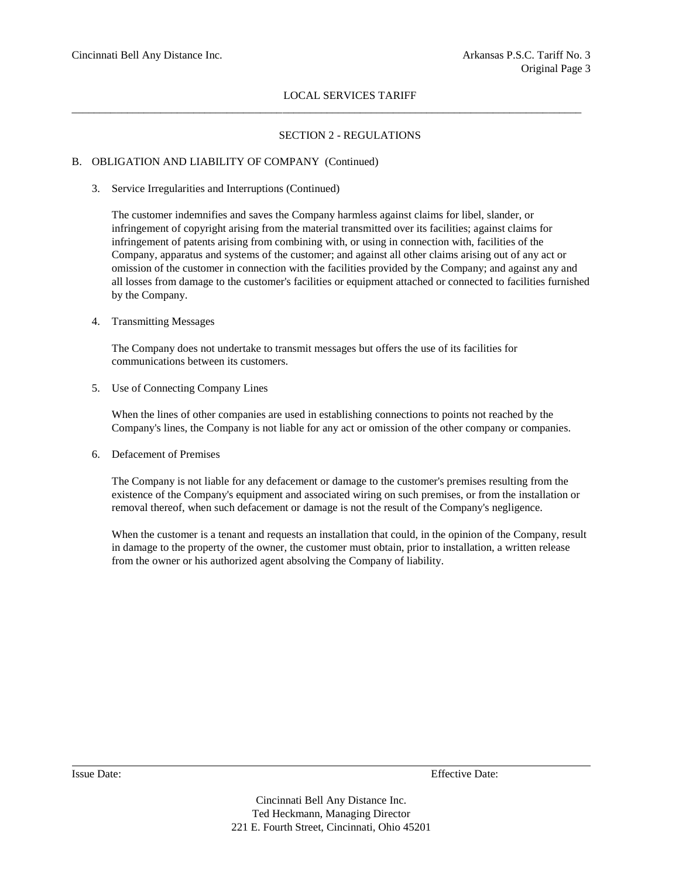\_\_\_\_\_\_\_\_\_\_\_\_\_\_\_\_\_\_\_\_\_\_\_\_\_\_\_\_\_\_\_\_\_\_\_\_\_\_\_\_\_\_\_\_\_\_\_\_\_\_\_\_\_\_\_\_\_\_\_\_\_\_\_\_\_\_\_\_\_\_\_\_\_\_\_\_\_\_\_\_\_\_\_\_\_\_\_\_\_\_\_\_

## SECTION 2 - REGULATIONS

## B. OBLIGATION AND LIABILITY OF COMPANY (Continued)

3. Service Irregularities and Interruptions (Continued)

The customer indemnifies and saves the Company harmless against claims for libel, slander, or infringement of copyright arising from the material transmitted over its facilities; against claims for infringement of patents arising from combining with, or using in connection with, facilities of the Company, apparatus and systems of the customer; and against all other claims arising out of any act or omission of the customer in connection with the facilities provided by the Company; and against any and all losses from damage to the customer's facilities or equipment attached or connected to facilities furnished by the Company.

## 4. Transmitting Messages

The Company does not undertake to transmit messages but offers the use of its facilities for communications between its customers.

5. Use of Connecting Company Lines

When the lines of other companies are used in establishing connections to points not reached by the Company's lines, the Company is not liable for any act or omission of the other company or companies.

6. Defacement of Premises

The Company is not liable for any defacement or damage to the customer's premises resulting from the existence of the Company's equipment and associated wiring on such premises, or from the installation or removal thereof, when such defacement or damage is not the result of the Company's negligence.

When the customer is a tenant and requests an installation that could, in the opinion of the Company, result in damage to the property of the owner, the customer must obtain, prior to installation, a written release from the owner or his authorized agent absolving the Company of liability.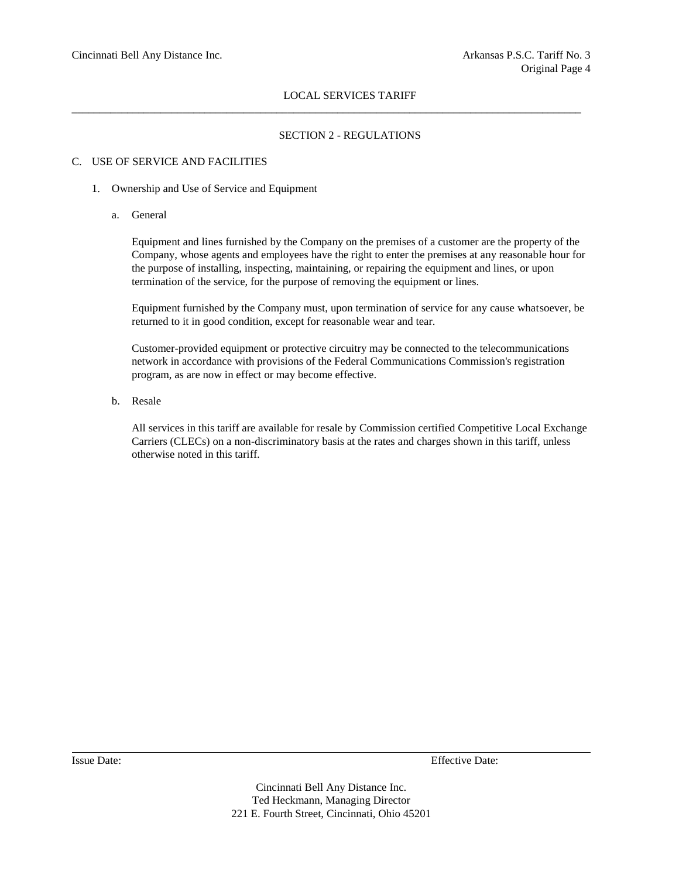$\_$  ,  $\_$  ,  $\_$  ,  $\_$  ,  $\_$  ,  $\_$  ,  $\_$  ,  $\_$  ,  $\_$  ,  $\_$  ,  $\_$  ,  $\_$  ,  $\_$  ,  $\_$  ,  $\_$  ,  $\_$  ,  $\_$  ,  $\_$  ,  $\_$  ,  $\_$  ,  $\_$  ,  $\_$  ,  $\_$  ,  $\_$  ,  $\_$  ,  $\_$  ,  $\_$  ,  $\_$  ,  $\_$  ,  $\_$  ,  $\_$  ,  $\_$  ,  $\_$  ,  $\_$  ,  $\_$  ,  $\_$  ,  $\_$  ,

## SECTION 2 - REGULATIONS

## C. USE OF SERVICE AND FACILITIES

- 1. Ownership and Use of Service and Equipment
	- a. General

Equipment and lines furnished by the Company on the premises of a customer are the property of the Company, whose agents and employees have the right to enter the premises at any reasonable hour for the purpose of installing, inspecting, maintaining, or repairing the equipment and lines, or upon termination of the service, for the purpose of removing the equipment or lines.

Equipment furnished by the Company must, upon termination of service for any cause whatsoever, be returned to it in good condition, except for reasonable wear and tear.

Customer-provided equipment or protective circuitry may be connected to the telecommunications network in accordance with provisions of the Federal Communications Commission's registration program, as are now in effect or may become effective.

b. Resale

All services in this tariff are available for resale by Commission certified Competitive Local Exchange Carriers (CLECs) on a non-discriminatory basis at the rates and charges shown in this tariff, unless otherwise noted in this tariff.

Issue Date: Effective Date: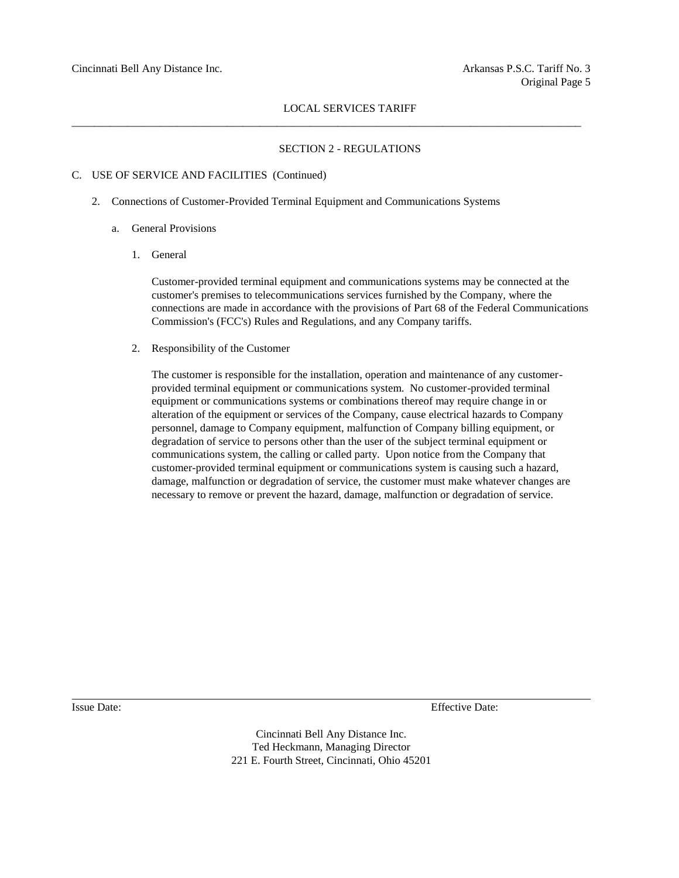$\_$  ,  $\_$  ,  $\_$  ,  $\_$  ,  $\_$  ,  $\_$  ,  $\_$  ,  $\_$  ,  $\_$  ,  $\_$  ,  $\_$  ,  $\_$  ,  $\_$  ,  $\_$  ,  $\_$  ,  $\_$  ,  $\_$  ,  $\_$  ,  $\_$  ,  $\_$  ,  $\_$  ,  $\_$  ,  $\_$  ,  $\_$  ,  $\_$  ,  $\_$  ,  $\_$  ,  $\_$  ,  $\_$  ,  $\_$  ,  $\_$  ,  $\_$  ,  $\_$  ,  $\_$  ,  $\_$  ,  $\_$  ,  $\_$  ,

#### SECTION 2 - REGULATIONS

#### C. USE OF SERVICE AND FACILITIES (Continued)

- 2. Connections of Customer-Provided Terminal Equipment and Communications Systems
	- a. General Provisions
		- 1. General

Customer-provided terminal equipment and communications systems may be connected at the customer's premises to telecommunications services furnished by the Company, where the connections are made in accordance with the provisions of Part 68 of the Federal Communications Commission's (FCC's) Rules and Regulations, and any Company tariffs.

2. Responsibility of the Customer

The customer is responsible for the installation, operation and maintenance of any customerprovided terminal equipment or communications system. No customer-provided terminal equipment or communications systems or combinations thereof may require change in or alteration of the equipment or services of the Company, cause electrical hazards to Company personnel, damage to Company equipment, malfunction of Company billing equipment, or degradation of service to persons other than the user of the subject terminal equipment or communications system, the calling or called party. Upon notice from the Company that customer-provided terminal equipment or communications system is causing such a hazard, damage, malfunction or degradation of service, the customer must make whatever changes are necessary to remove or prevent the hazard, damage, malfunction or degradation of service.

Issue Date: Effective Date: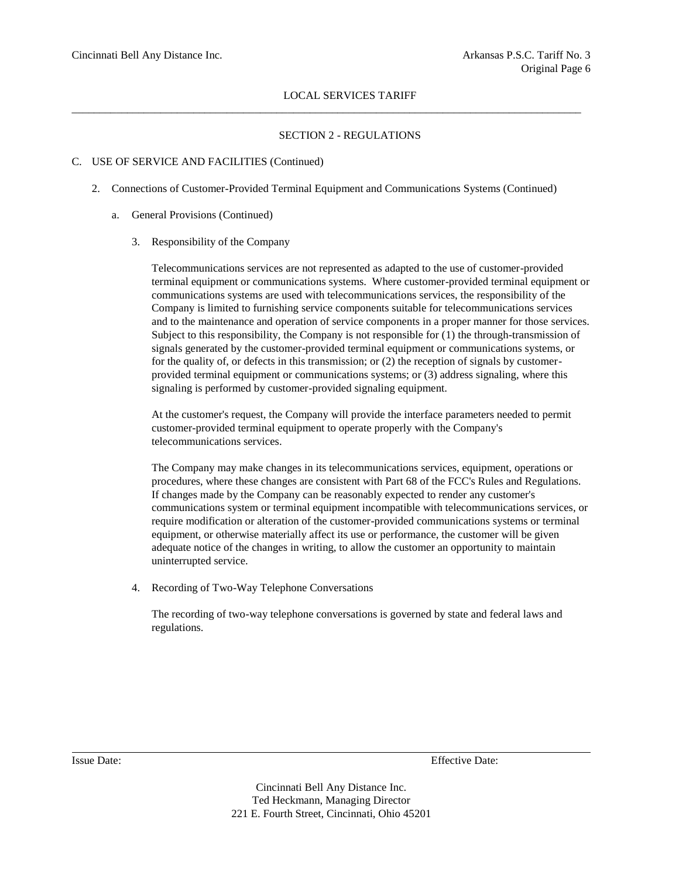## SECTION 2 - REGULATIONS

## C. USE OF SERVICE AND FACILITIES (Continued)

2. Connections of Customer-Provided Terminal Equipment and Communications Systems (Continued)

 $\_$  ,  $\_$  ,  $\_$  ,  $\_$  ,  $\_$  ,  $\_$  ,  $\_$  ,  $\_$  ,  $\_$  ,  $\_$  ,  $\_$  ,  $\_$  ,  $\_$  ,  $\_$  ,  $\_$  ,  $\_$  ,  $\_$  ,  $\_$  ,  $\_$  ,  $\_$  ,  $\_$  ,  $\_$  ,  $\_$  ,  $\_$  ,  $\_$  ,  $\_$  ,  $\_$  ,  $\_$  ,  $\_$  ,  $\_$  ,  $\_$  ,  $\_$  ,  $\_$  ,  $\_$  ,  $\_$  ,  $\_$  ,  $\_$  ,

- a. General Provisions (Continued)
	- 3. Responsibility of the Company

Telecommunications services are not represented as adapted to the use of customer-provided terminal equipment or communications systems. Where customer-provided terminal equipment or communications systems are used with telecommunications services, the responsibility of the Company is limited to furnishing service components suitable for telecommunications services and to the maintenance and operation of service components in a proper manner for those services. Subject to this responsibility, the Company is not responsible for (1) the through-transmission of signals generated by the customer-provided terminal equipment or communications systems, or for the quality of, or defects in this transmission; or (2) the reception of signals by customerprovided terminal equipment or communications systems; or (3) address signaling, where this signaling is performed by customer-provided signaling equipment.

At the customer's request, the Company will provide the interface parameters needed to permit customer-provided terminal equipment to operate properly with the Company's telecommunications services.

The Company may make changes in its telecommunications services, equipment, operations or procedures, where these changes are consistent with Part 68 of the FCC's Rules and Regulations. If changes made by the Company can be reasonably expected to render any customer's communications system or terminal equipment incompatible with telecommunications services, or require modification or alteration of the customer-provided communications systems or terminal equipment, or otherwise materially affect its use or performance, the customer will be given adequate notice of the changes in writing, to allow the customer an opportunity to maintain uninterrupted service.

4. Recording of Two-Way Telephone Conversations

The recording of two-way telephone conversations is governed by state and federal laws and regulations.

Issue Date: Effective Date: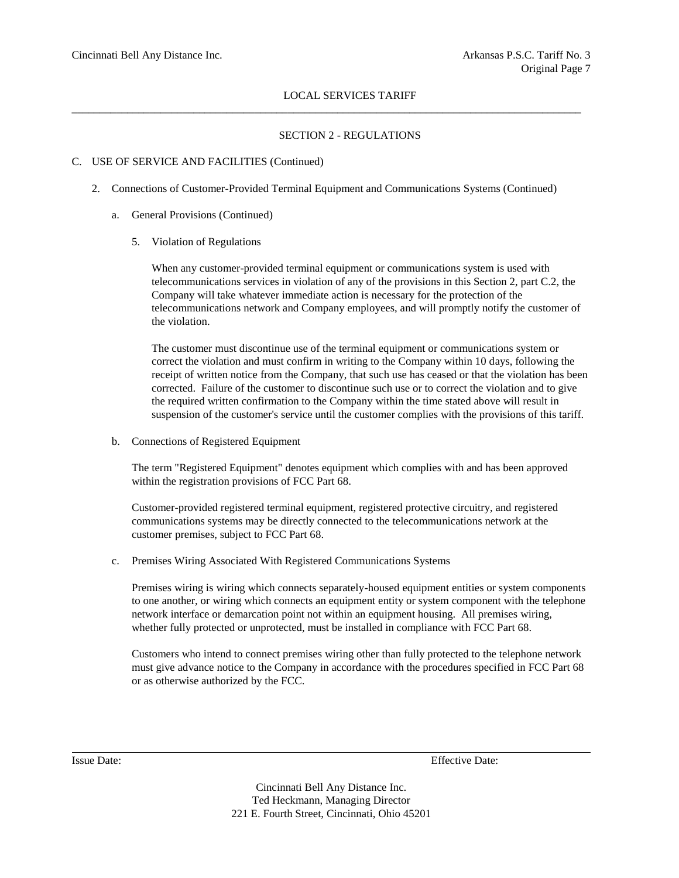## SECTION 2 - REGULATIONS

## C. USE OF SERVICE AND FACILITIES (Continued)

2. Connections of Customer-Provided Terminal Equipment and Communications Systems (Continued)

 $\_$  ,  $\_$  ,  $\_$  ,  $\_$  ,  $\_$  ,  $\_$  ,  $\_$  ,  $\_$  ,  $\_$  ,  $\_$  ,  $\_$  ,  $\_$  ,  $\_$  ,  $\_$  ,  $\_$  ,  $\_$  ,  $\_$  ,  $\_$  ,  $\_$  ,  $\_$  ,  $\_$  ,  $\_$  ,  $\_$  ,  $\_$  ,  $\_$  ,  $\_$  ,  $\_$  ,  $\_$  ,  $\_$  ,  $\_$  ,  $\_$  ,  $\_$  ,  $\_$  ,  $\_$  ,  $\_$  ,  $\_$  ,  $\_$  ,

- a. General Provisions (Continued)
	- 5. Violation of Regulations

When any customer-provided terminal equipment or communications system is used with telecommunications services in violation of any of the provisions in this Section 2, part C.2, the Company will take whatever immediate action is necessary for the protection of the telecommunications network and Company employees, and will promptly notify the customer of the violation.

The customer must discontinue use of the terminal equipment or communications system or correct the violation and must confirm in writing to the Company within 10 days, following the receipt of written notice from the Company, that such use has ceased or that the violation has been corrected. Failure of the customer to discontinue such use or to correct the violation and to give the required written confirmation to the Company within the time stated above will result in suspension of the customer's service until the customer complies with the provisions of this tariff.

b. Connections of Registered Equipment

The term "Registered Equipment" denotes equipment which complies with and has been approved within the registration provisions of FCC Part 68.

Customer-provided registered terminal equipment, registered protective circuitry, and registered communications systems may be directly connected to the telecommunications network at the customer premises, subject to FCC Part 68.

c. Premises Wiring Associated With Registered Communications Systems

Premises wiring is wiring which connects separately-housed equipment entities or system components to one another, or wiring which connects an equipment entity or system component with the telephone network interface or demarcation point not within an equipment housing. All premises wiring, whether fully protected or unprotected, must be installed in compliance with FCC Part 68.

Customers who intend to connect premises wiring other than fully protected to the telephone network must give advance notice to the Company in accordance with the procedures specified in FCC Part 68 or as otherwise authorized by the FCC.

Issue Date: Effective Date: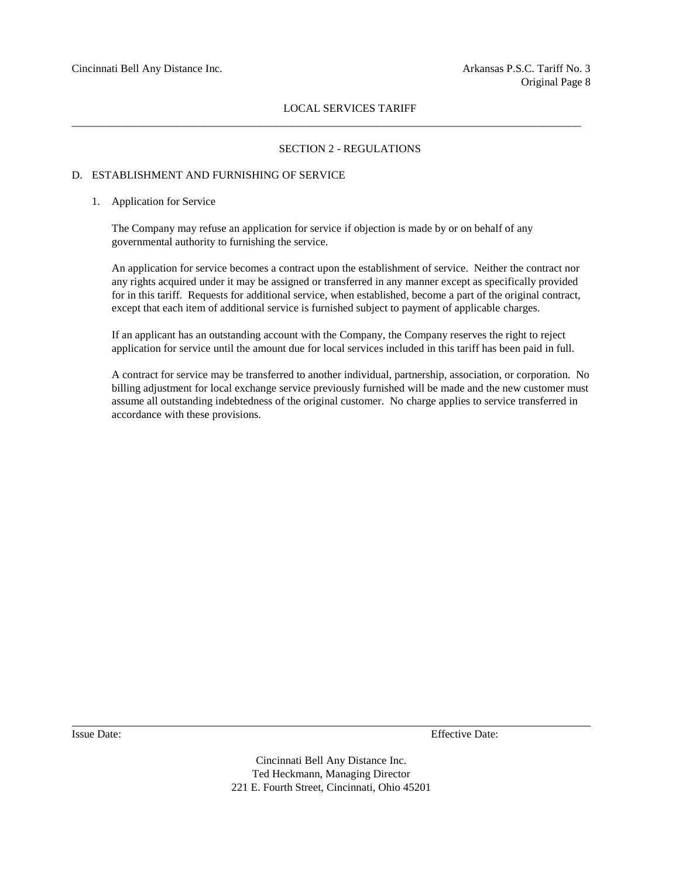#### SECTION 2 - REGULATIONS

#### D. ESTABLISHMENT AND FURNISHING OF SERVICE

#### 1. Application for Service

The Company may refuse an application for service if objection is made by or on behalf of any governmental authority to furnishing the service.

 $\_$  ,  $\_$  ,  $\_$  ,  $\_$  ,  $\_$  ,  $\_$  ,  $\_$  ,  $\_$  ,  $\_$  ,  $\_$  ,  $\_$  ,  $\_$  ,  $\_$  ,  $\_$  ,  $\_$  ,  $\_$  ,  $\_$  ,  $\_$  ,  $\_$  ,  $\_$  ,  $\_$  ,  $\_$  ,  $\_$  ,  $\_$  ,  $\_$  ,  $\_$  ,  $\_$  ,  $\_$  ,  $\_$  ,  $\_$  ,  $\_$  ,  $\_$  ,  $\_$  ,  $\_$  ,  $\_$  ,  $\_$  ,  $\_$  ,

An application for service becomes a contract upon the establishment of service. Neither the contract nor any rights acquired under it may be assigned or transferred in any manner except as specifically provided for in this tariff. Requests for additional service, when established, become a part of the original contract, except that each item of additional service is furnished subject to payment of applicable charges.

If an applicant has an outstanding account with the Company, the Company reserves the right to reject application for service until the amount due for local services included in this tariff has been paid in full.

A contract for service may be transferred to another individual, partnership, association, or corporation. No billing adjustment for local exchange service previously furnished will be made and the new customer must assume all outstanding indebtedness of the original customer. No charge applies to service transferred in accordance with these provisions.

Issue Date: Effective Date: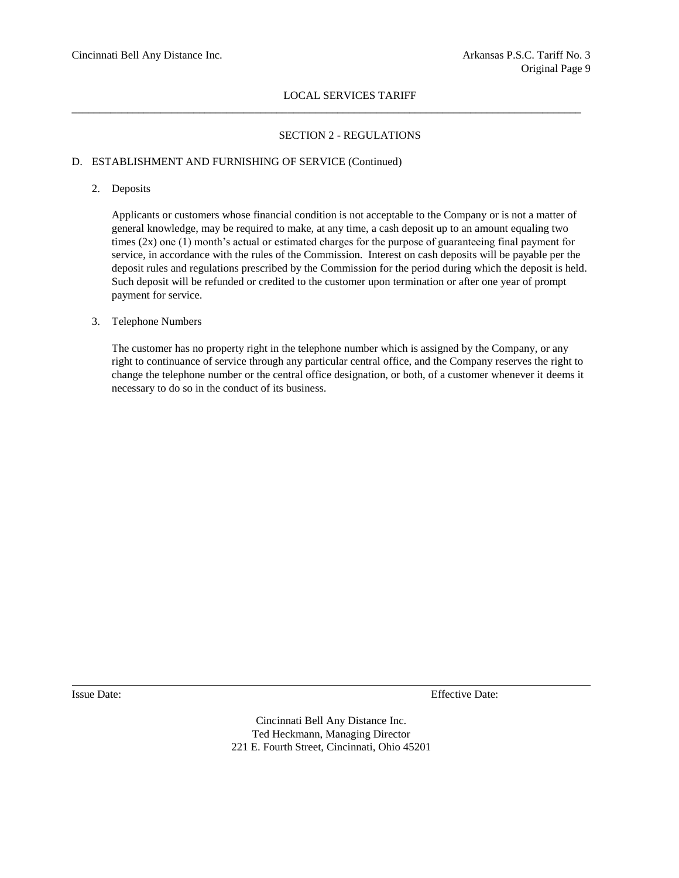$\_$  ,  $\_$  ,  $\_$  ,  $\_$  ,  $\_$  ,  $\_$  ,  $\_$  ,  $\_$  ,  $\_$  ,  $\_$  ,  $\_$  ,  $\_$  ,  $\_$  ,  $\_$  ,  $\_$  ,  $\_$  ,  $\_$  ,  $\_$  ,  $\_$  ,  $\_$  ,  $\_$  ,  $\_$  ,  $\_$  ,  $\_$  ,  $\_$  ,  $\_$  ,  $\_$  ,  $\_$  ,  $\_$  ,  $\_$  ,  $\_$  ,  $\_$  ,  $\_$  ,  $\_$  ,  $\_$  ,  $\_$  ,  $\_$  ,

## SECTION 2 - REGULATIONS

## D. ESTABLISHMENT AND FURNISHING OF SERVICE (Continued)

## 2. Deposits

Applicants or customers whose financial condition is not acceptable to the Company or is not a matter of general knowledge, may be required to make, at any time, a cash deposit up to an amount equaling two times  $(2x)$  one  $(1)$  month's actual or estimated charges for the purpose of guaranteeing final payment for service, in accordance with the rules of the Commission. Interest on cash deposits will be payable per the deposit rules and regulations prescribed by the Commission for the period during which the deposit is held. Such deposit will be refunded or credited to the customer upon termination or after one year of prompt payment for service.

## 3. Telephone Numbers

The customer has no property right in the telephone number which is assigned by the Company, or any right to continuance of service through any particular central office, and the Company reserves the right to change the telephone number or the central office designation, or both, of a customer whenever it deems it necessary to do so in the conduct of its business.

Issue Date: Effective Date: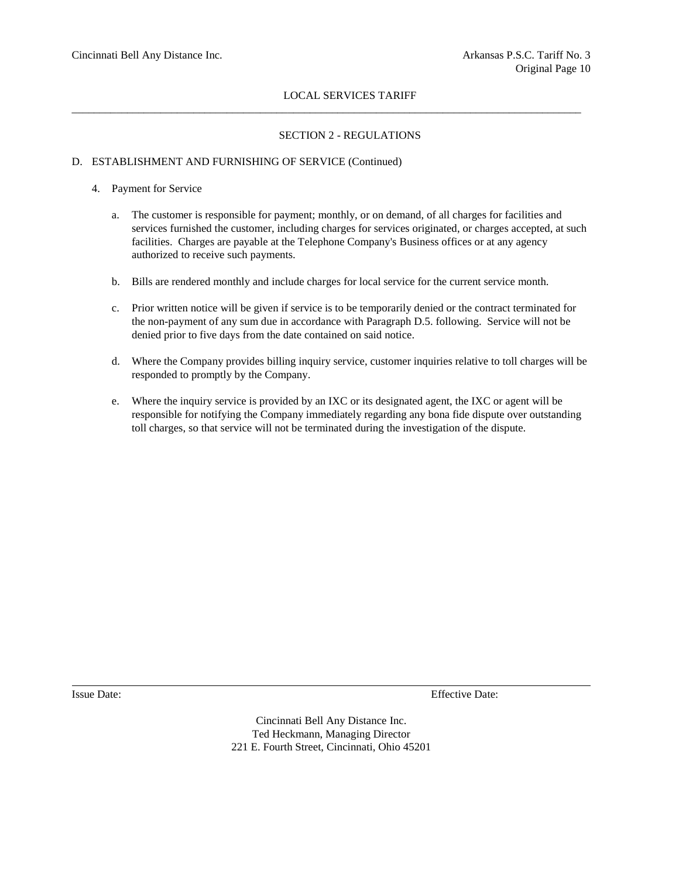$\_$  ,  $\_$  ,  $\_$  ,  $\_$  ,  $\_$  ,  $\_$  ,  $\_$  ,  $\_$  ,  $\_$  ,  $\_$  ,  $\_$  ,  $\_$  ,  $\_$  ,  $\_$  ,  $\_$  ,  $\_$  ,  $\_$  ,  $\_$  ,  $\_$  ,  $\_$  ,  $\_$  ,  $\_$  ,  $\_$  ,  $\_$  ,  $\_$  ,  $\_$  ,  $\_$  ,  $\_$  ,  $\_$  ,  $\_$  ,  $\_$  ,  $\_$  ,  $\_$  ,  $\_$  ,  $\_$  ,  $\_$  ,  $\_$  ,

## SECTION 2 - REGULATIONS

## D. ESTABLISHMENT AND FURNISHING OF SERVICE (Continued)

## 4. Payment for Service

- a. The customer is responsible for payment; monthly, or on demand, of all charges for facilities and services furnished the customer, including charges for services originated, or charges accepted, at such facilities. Charges are payable at the Telephone Company's Business offices or at any agency authorized to receive such payments.
- b. Bills are rendered monthly and include charges for local service for the current service month.
- c. Prior written notice will be given if service is to be temporarily denied or the contract terminated for the non-payment of any sum due in accordance with Paragraph D.5. following. Service will not be denied prior to five days from the date contained on said notice.
- d. Where the Company provides billing inquiry service, customer inquiries relative to toll charges will be responded to promptly by the Company.
- e. Where the inquiry service is provided by an IXC or its designated agent, the IXC or agent will be responsible for notifying the Company immediately regarding any bona fide dispute over outstanding toll charges, so that service will not be terminated during the investigation of the dispute.

Issue Date: Effective Date: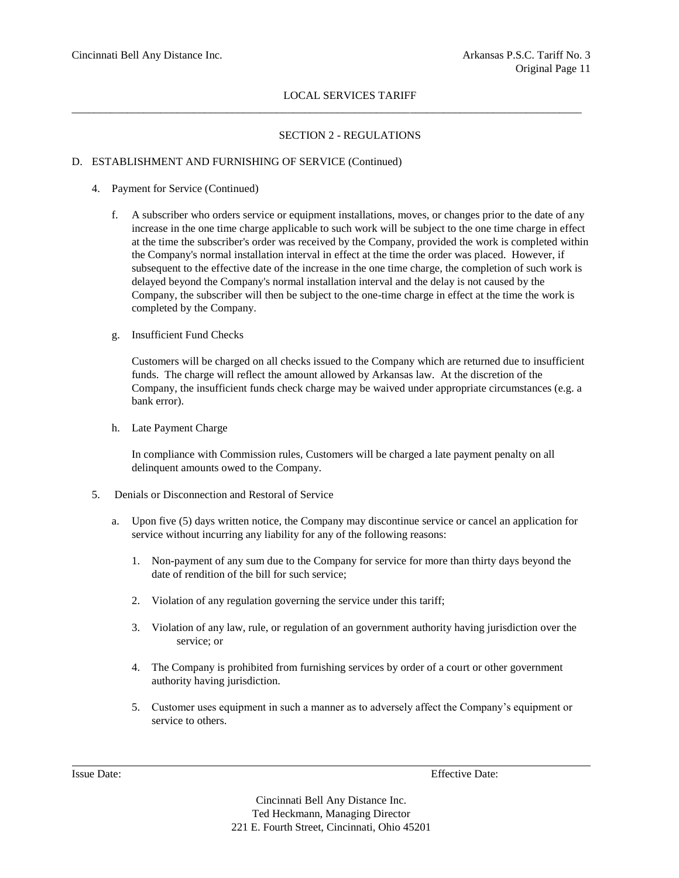\_\_\_\_\_\_\_\_\_\_\_\_\_\_\_\_\_\_\_\_\_\_\_\_\_\_\_\_\_\_\_\_\_\_\_\_\_\_\_\_\_\_\_\_\_\_\_\_\_\_\_\_\_\_\_\_\_\_\_\_\_\_\_\_\_\_\_\_\_\_\_\_\_\_\_\_\_\_\_\_\_\_\_\_\_\_\_\_\_\_\_\_

## SECTION 2 - REGULATIONS

## D. ESTABLISHMENT AND FURNISHING OF SERVICE (Continued)

- 4. Payment for Service (Continued)
	- f. A subscriber who orders service or equipment installations, moves, or changes prior to the date of any increase in the one time charge applicable to such work will be subject to the one time charge in effect at the time the subscriber's order was received by the Company, provided the work is completed within the Company's normal installation interval in effect at the time the order was placed. However, if subsequent to the effective date of the increase in the one time charge, the completion of such work is delayed beyond the Company's normal installation interval and the delay is not caused by the Company, the subscriber will then be subject to the one-time charge in effect at the time the work is completed by the Company.
	- g. Insufficient Fund Checks

Customers will be charged on all checks issued to the Company which are returned due to insufficient funds. The charge will reflect the amount allowed by Arkansas law. At the discretion of the Company, the insufficient funds check charge may be waived under appropriate circumstances (e.g. a bank error).

h. Late Payment Charge

In compliance with Commission rules, Customers will be charged a late payment penalty on all delinquent amounts owed to the Company.

- 5. Denials or Disconnection and Restoral of Service
	- a. Upon five (5) days written notice, the Company may discontinue service or cancel an application for service without incurring any liability for any of the following reasons:
		- 1. Non-payment of any sum due to the Company for service for more than thirty days beyond the date of rendition of the bill for such service;
		- 2. Violation of any regulation governing the service under this tariff;
		- 3. Violation of any law, rule, or regulation of an government authority having jurisdiction over the service; or
		- 4. The Company is prohibited from furnishing services by order of a court or other government authority having jurisdiction.
		- 5. Customer uses equipment in such a manner as to adversely affect the Company's equipment or service to others.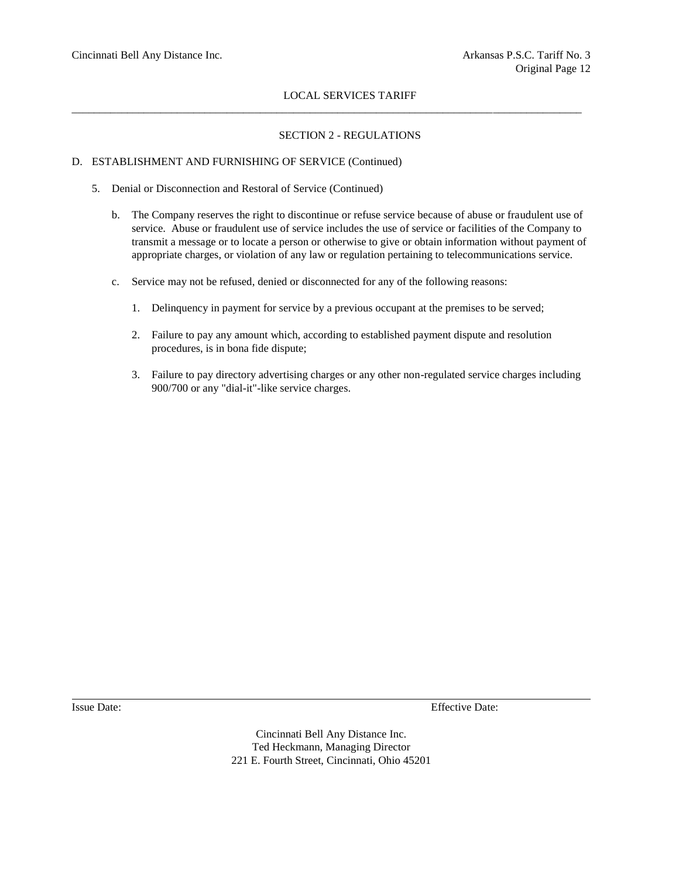\_\_\_\_\_\_\_\_\_\_\_\_\_\_\_\_\_\_\_\_\_\_\_\_\_\_\_\_\_\_\_\_\_\_\_\_\_\_\_\_\_\_\_\_\_\_\_\_\_\_\_\_\_\_\_\_\_\_\_\_\_\_\_\_\_\_\_\_\_\_\_\_\_\_\_\_\_\_\_\_\_\_\_\_\_\_\_\_\_\_\_\_

## SECTION 2 - REGULATIONS

## D. ESTABLISHMENT AND FURNISHING OF SERVICE (Continued)

- 5. Denial or Disconnection and Restoral of Service (Continued)
	- b. The Company reserves the right to discontinue or refuse service because of abuse or fraudulent use of service. Abuse or fraudulent use of service includes the use of service or facilities of the Company to transmit a message or to locate a person or otherwise to give or obtain information without payment of appropriate charges, or violation of any law or regulation pertaining to telecommunications service.
	- c. Service may not be refused, denied or disconnected for any of the following reasons:
		- 1. Delinquency in payment for service by a previous occupant at the premises to be served;
		- 2. Failure to pay any amount which, according to established payment dispute and resolution procedures, is in bona fide dispute;
		- 3. Failure to pay directory advertising charges or any other non-regulated service charges including 900/700 or any "dial-it"-like service charges.

Issue Date: Effective Date: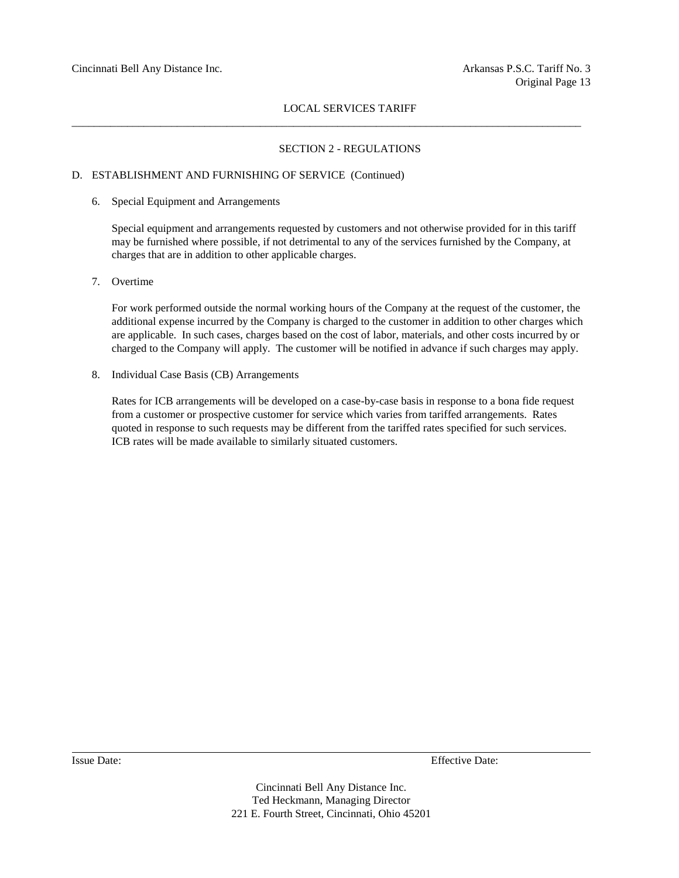$\_$  ,  $\_$  ,  $\_$  ,  $\_$  ,  $\_$  ,  $\_$  ,  $\_$  ,  $\_$  ,  $\_$  ,  $\_$  ,  $\_$  ,  $\_$  ,  $\_$  ,  $\_$  ,  $\_$  ,  $\_$  ,  $\_$  ,  $\_$  ,  $\_$  ,  $\_$  ,  $\_$  ,  $\_$  ,  $\_$  ,  $\_$  ,  $\_$  ,  $\_$  ,  $\_$  ,  $\_$  ,  $\_$  ,  $\_$  ,  $\_$  ,  $\_$  ,  $\_$  ,  $\_$  ,  $\_$  ,  $\_$  ,  $\_$  ,

## SECTION 2 - REGULATIONS

#### D. ESTABLISHMENT AND FURNISHING OF SERVICE (Continued)

6. Special Equipment and Arrangements

Special equipment and arrangements requested by customers and not otherwise provided for in this tariff may be furnished where possible, if not detrimental to any of the services furnished by the Company, at charges that are in addition to other applicable charges.

7. Overtime

For work performed outside the normal working hours of the Company at the request of the customer, the additional expense incurred by the Company is charged to the customer in addition to other charges which are applicable. In such cases, charges based on the cost of labor, materials, and other costs incurred by or charged to the Company will apply. The customer will be notified in advance if such charges may apply.

8. Individual Case Basis (CB) Arrangements

Rates for ICB arrangements will be developed on a case-by-case basis in response to a bona fide request from a customer or prospective customer for service which varies from tariffed arrangements. Rates quoted in response to such requests may be different from the tariffed rates specified for such services. ICB rates will be made available to similarly situated customers.

Issue Date: Effective Date: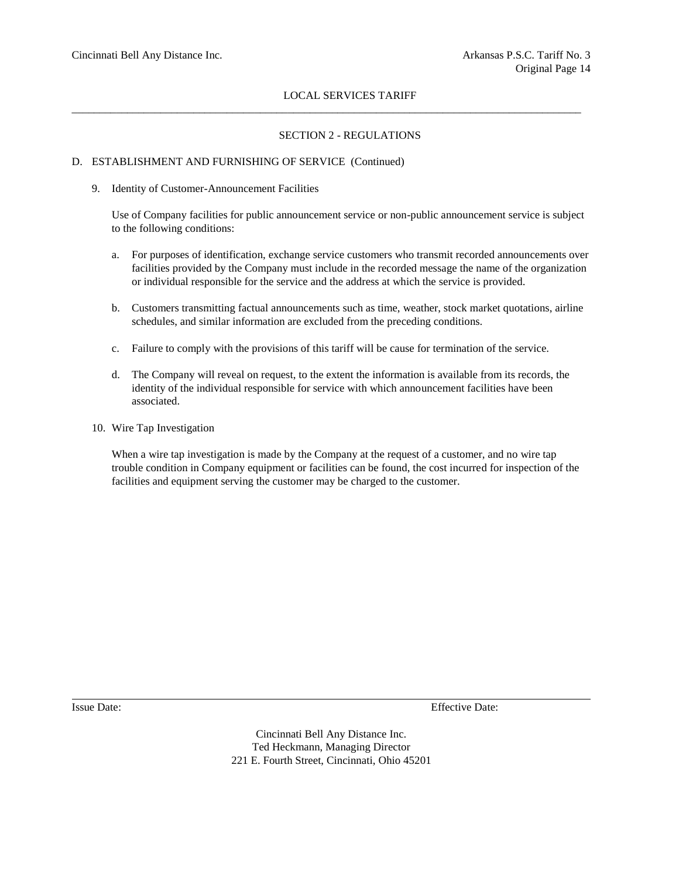$\_$  ,  $\_$  ,  $\_$  ,  $\_$  ,  $\_$  ,  $\_$  ,  $\_$  ,  $\_$  ,  $\_$  ,  $\_$  ,  $\_$  ,  $\_$  ,  $\_$  ,  $\_$  ,  $\_$  ,  $\_$  ,  $\_$  ,  $\_$  ,  $\_$  ,  $\_$  ,  $\_$  ,  $\_$  ,  $\_$  ,  $\_$  ,  $\_$  ,  $\_$  ,  $\_$  ,  $\_$  ,  $\_$  ,  $\_$  ,  $\_$  ,  $\_$  ,  $\_$  ,  $\_$  ,  $\_$  ,  $\_$  ,  $\_$  ,

## SECTION 2 - REGULATIONS

## D. ESTABLISHMENT AND FURNISHING OF SERVICE (Continued)

#### 9. Identity of Customer-Announcement Facilities

Use of Company facilities for public announcement service or non-public announcement service is subject to the following conditions:

- a. For purposes of identification, exchange service customers who transmit recorded announcements over facilities provided by the Company must include in the recorded message the name of the organization or individual responsible for the service and the address at which the service is provided.
- b. Customers transmitting factual announcements such as time, weather, stock market quotations, airline schedules, and similar information are excluded from the preceding conditions.
- c. Failure to comply with the provisions of this tariff will be cause for termination of the service.
- d. The Company will reveal on request, to the extent the information is available from its records, the identity of the individual responsible for service with which announcement facilities have been associated.
- 10. Wire Tap Investigation

When a wire tap investigation is made by the Company at the request of a customer, and no wire tap trouble condition in Company equipment or facilities can be found, the cost incurred for inspection of the facilities and equipment serving the customer may be charged to the customer.

Issue Date: Effective Date: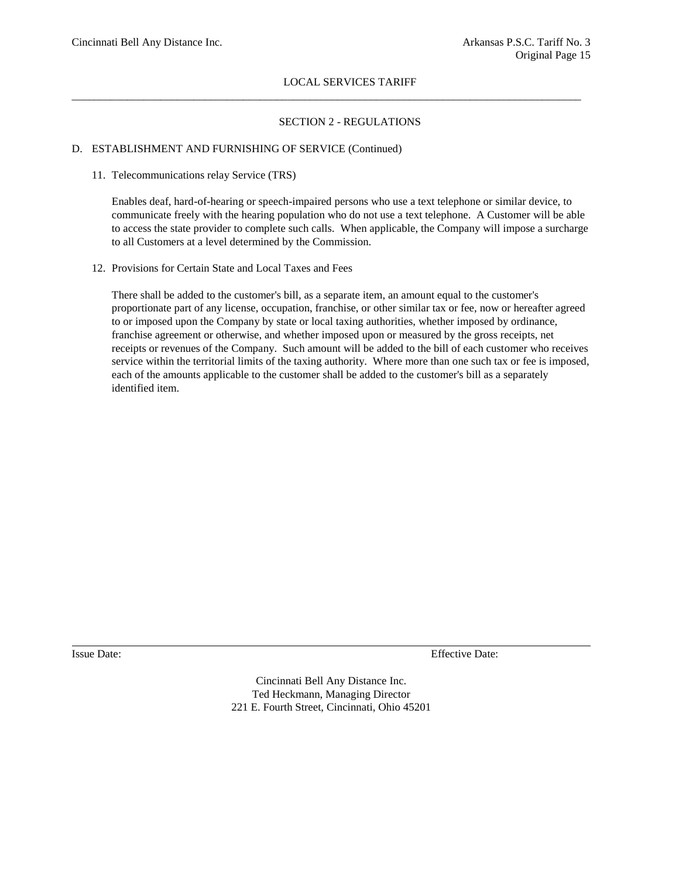$\_$  ,  $\_$  ,  $\_$  ,  $\_$  ,  $\_$  ,  $\_$  ,  $\_$  ,  $\_$  ,  $\_$  ,  $\_$  ,  $\_$  ,  $\_$  ,  $\_$  ,  $\_$  ,  $\_$  ,  $\_$  ,  $\_$  ,  $\_$  ,  $\_$  ,  $\_$  ,  $\_$  ,  $\_$  ,  $\_$  ,  $\_$  ,  $\_$  ,  $\_$  ,  $\_$  ,  $\_$  ,  $\_$  ,  $\_$  ,  $\_$  ,  $\_$  ,  $\_$  ,  $\_$  ,  $\_$  ,  $\_$  ,  $\_$  ,

## SECTION 2 - REGULATIONS

## D. ESTABLISHMENT AND FURNISHING OF SERVICE (Continued)

#### 11. Telecommunications relay Service (TRS)

Enables deaf, hard-of-hearing or speech-impaired persons who use a text telephone or similar device, to communicate freely with the hearing population who do not use a text telephone. A Customer will be able to access the state provider to complete such calls. When applicable, the Company will impose a surcharge to all Customers at a level determined by the Commission.

12. Provisions for Certain State and Local Taxes and Fees

There shall be added to the customer's bill, as a separate item, an amount equal to the customer's proportionate part of any license, occupation, franchise, or other similar tax or fee, now or hereafter agreed to or imposed upon the Company by state or local taxing authorities, whether imposed by ordinance, franchise agreement or otherwise, and whether imposed upon or measured by the gross receipts, net receipts or revenues of the Company. Such amount will be added to the bill of each customer who receives service within the territorial limits of the taxing authority. Where more than one such tax or fee is imposed, each of the amounts applicable to the customer shall be added to the customer's bill as a separately identified item.

Issue Date: Effective Date: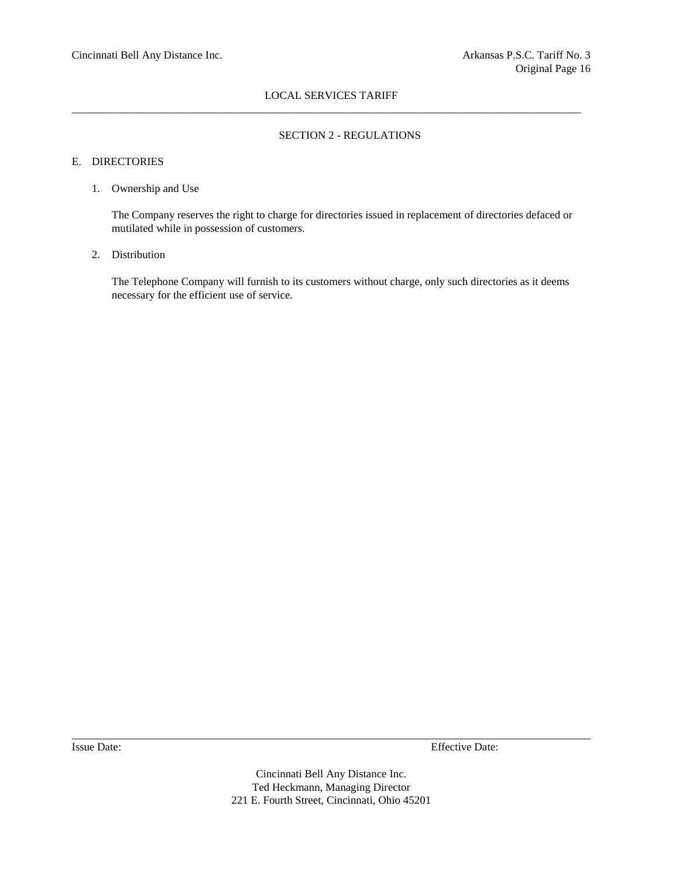## LOCAL SERVICES TARIFF  $\_$  ,  $\_$  ,  $\_$  ,  $\_$  ,  $\_$  ,  $\_$  ,  $\_$  ,  $\_$  ,  $\_$  ,  $\_$  ,  $\_$  ,  $\_$  ,  $\_$  ,  $\_$  ,  $\_$  ,  $\_$  ,  $\_$  ,  $\_$  ,  $\_$  ,  $\_$  ,  $\_$  ,  $\_$  ,  $\_$  ,  $\_$  ,  $\_$  ,  $\_$  ,  $\_$  ,  $\_$  ,  $\_$  ,  $\_$  ,  $\_$  ,  $\_$  ,  $\_$  ,  $\_$  ,  $\_$  ,  $\_$  ,  $\_$  ,

## SECTION 2 - REGULATIONS

## E. DIRECTORIES

## 1. Ownership and Use

The Company reserves the right to charge for directories issued in replacement of directories defaced or mutilated while in possession of customers.

#### 2. Distribution

The Telephone Company will furnish to its customers without charge, only such directories as it deems necessary for the efficient use of service.

Issue Date: Effective Date: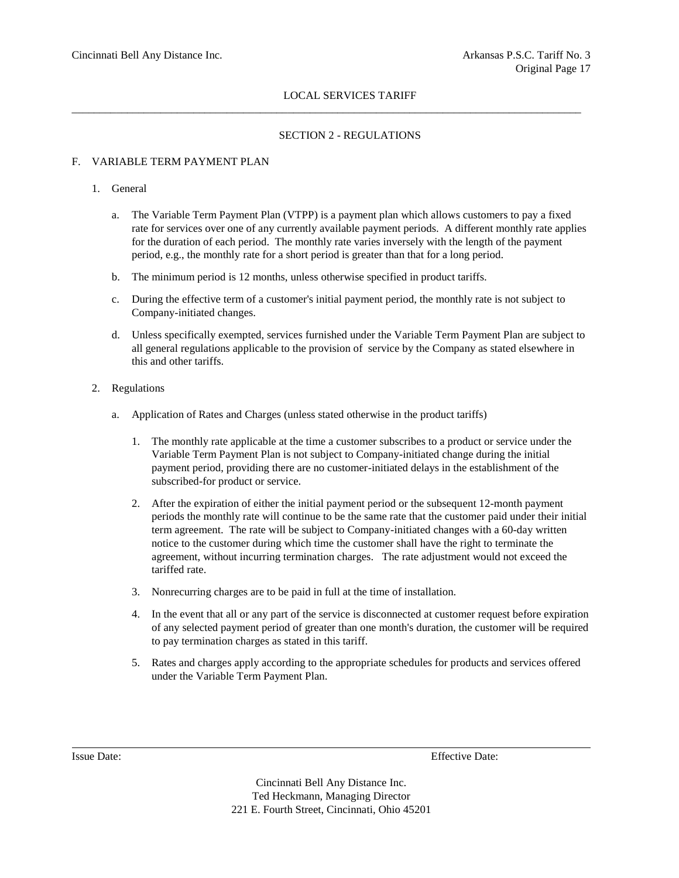$\_$  ,  $\_$  ,  $\_$  ,  $\_$  ,  $\_$  ,  $\_$  ,  $\_$  ,  $\_$  ,  $\_$  ,  $\_$  ,  $\_$  ,  $\_$  ,  $\_$  ,  $\_$  ,  $\_$  ,  $\_$  ,  $\_$  ,  $\_$  ,  $\_$  ,  $\_$  ,  $\_$  ,  $\_$  ,  $\_$  ,  $\_$  ,  $\_$  ,  $\_$  ,  $\_$  ,  $\_$  ,  $\_$  ,  $\_$  ,  $\_$  ,  $\_$  ,  $\_$  ,  $\_$  ,  $\_$  ,  $\_$  ,  $\_$  ,

## SECTION 2 - REGULATIONS

## F. VARIABLE TERM PAYMENT PLAN

## 1. General

- a. The Variable Term Payment Plan (VTPP) is a payment plan which allows customers to pay a fixed rate for services over one of any currently available payment periods. A different monthly rate applies for the duration of each period. The monthly rate varies inversely with the length of the payment period, e.g., the monthly rate for a short period is greater than that for a long period.
- b. The minimum period is 12 months, unless otherwise specified in product tariffs.
- c. During the effective term of a customer's initial payment period, the monthly rate is not subject to Company-initiated changes.
- d. Unless specifically exempted, services furnished under the Variable Term Payment Plan are subject to all general regulations applicable to the provision of service by the Company as stated elsewhere in this and other tariffs.
- 2. Regulations
	- a. Application of Rates and Charges (unless stated otherwise in the product tariffs)
		- 1. The monthly rate applicable at the time a customer subscribes to a product or service under the Variable Term Payment Plan is not subject to Company-initiated change during the initial payment period, providing there are no customer-initiated delays in the establishment of the subscribed-for product or service.
		- 2. After the expiration of either the initial payment period or the subsequent 12-month payment periods the monthly rate will continue to be the same rate that the customer paid under their initial term agreement. The rate will be subject to Company-initiated changes with a 60-day written notice to the customer during which time the customer shall have the right to terminate the agreement, without incurring termination charges. The rate adjustment would not exceed the tariffed rate.
		- 3. Nonrecurring charges are to be paid in full at the time of installation.
		- 4. In the event that all or any part of the service is disconnected at customer request before expiration of any selected payment period of greater than one month's duration, the customer will be required to pay termination charges as stated in this tariff.
		- 5. Rates and charges apply according to the appropriate schedules for products and services offered under the Variable Term Payment Plan.

Issue Date: Effective Date: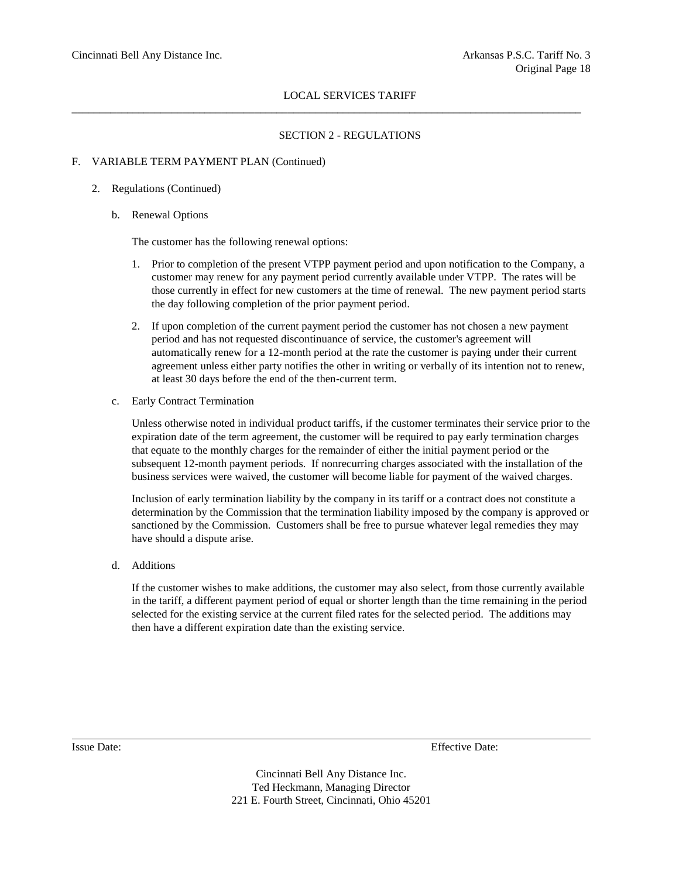$\_$  ,  $\_$  ,  $\_$  ,  $\_$  ,  $\_$  ,  $\_$  ,  $\_$  ,  $\_$  ,  $\_$  ,  $\_$  ,  $\_$  ,  $\_$  ,  $\_$  ,  $\_$  ,  $\_$  ,  $\_$  ,  $\_$  ,  $\_$  ,  $\_$  ,  $\_$  ,  $\_$  ,  $\_$  ,  $\_$  ,  $\_$  ,  $\_$  ,  $\_$  ,  $\_$  ,  $\_$  ,  $\_$  ,  $\_$  ,  $\_$  ,  $\_$  ,  $\_$  ,  $\_$  ,  $\_$  ,  $\_$  ,  $\_$  ,

## SECTION 2 - REGULATIONS

## F. VARIABLE TERM PAYMENT PLAN (Continued)

## 2. Regulations (Continued)

b. Renewal Options

The customer has the following renewal options:

- 1. Prior to completion of the present VTPP payment period and upon notification to the Company, a customer may renew for any payment period currently available under VTPP. The rates will be those currently in effect for new customers at the time of renewal. The new payment period starts the day following completion of the prior payment period.
- 2. If upon completion of the current payment period the customer has not chosen a new payment period and has not requested discontinuance of service, the customer's agreement will automatically renew for a 12-month period at the rate the customer is paying under their current agreement unless either party notifies the other in writing or verbally of its intention not to renew, at least 30 days before the end of the then-current term.
- c. Early Contract Termination

Unless otherwise noted in individual product tariffs, if the customer terminates their service prior to the expiration date of the term agreement, the customer will be required to pay early termination charges that equate to the monthly charges for the remainder of either the initial payment period or the subsequent 12-month payment periods. If nonrecurring charges associated with the installation of the business services were waived, the customer will become liable for payment of the waived charges.

Inclusion of early termination liability by the company in its tariff or a contract does not constitute a determination by the Commission that the termination liability imposed by the company is approved or sanctioned by the Commission. Customers shall be free to pursue whatever legal remedies they may have should a dispute arise.

d. Additions

If the customer wishes to make additions, the customer may also select, from those currently available in the tariff, a different payment period of equal or shorter length than the time remaining in the period selected for the existing service at the current filed rates for the selected period. The additions may then have a different expiration date than the existing service.

Issue Date: Effective Date: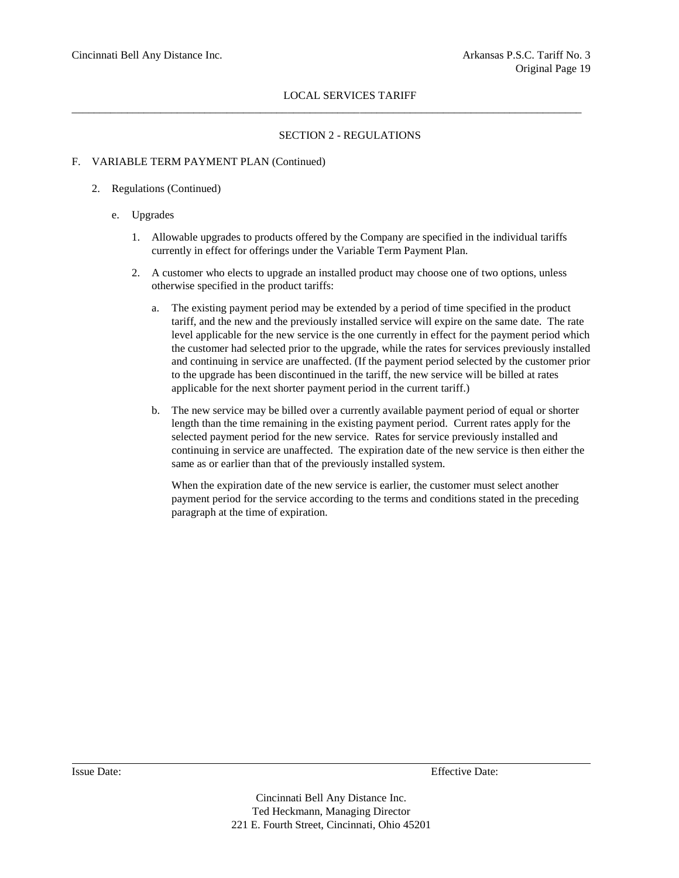$\_$  ,  $\_$  ,  $\_$  ,  $\_$  ,  $\_$  ,  $\_$  ,  $\_$  ,  $\_$  ,  $\_$  ,  $\_$  ,  $\_$  ,  $\_$  ,  $\_$  ,  $\_$  ,  $\_$  ,  $\_$  ,  $\_$  ,  $\_$  ,  $\_$  ,  $\_$  ,  $\_$  ,  $\_$  ,  $\_$  ,  $\_$  ,  $\_$  ,  $\_$  ,  $\_$  ,  $\_$  ,  $\_$  ,  $\_$  ,  $\_$  ,  $\_$  ,  $\_$  ,  $\_$  ,  $\_$  ,  $\_$  ,  $\_$  ,

## SECTION 2 - REGULATIONS

## F. VARIABLE TERM PAYMENT PLAN (Continued)

## 2. Regulations (Continued)

- e. Upgrades
	- 1. Allowable upgrades to products offered by the Company are specified in the individual tariffs currently in effect for offerings under the Variable Term Payment Plan.
	- 2. A customer who elects to upgrade an installed product may choose one of two options, unless otherwise specified in the product tariffs:
		- a. The existing payment period may be extended by a period of time specified in the product tariff, and the new and the previously installed service will expire on the same date. The rate level applicable for the new service is the one currently in effect for the payment period which the customer had selected prior to the upgrade, while the rates for services previously installed and continuing in service are unaffected. (If the payment period selected by the customer prior to the upgrade has been discontinued in the tariff, the new service will be billed at rates applicable for the next shorter payment period in the current tariff.)
		- b. The new service may be billed over a currently available payment period of equal or shorter length than the time remaining in the existing payment period. Current rates apply for the selected payment period for the new service. Rates for service previously installed and continuing in service are unaffected. The expiration date of the new service is then either the same as or earlier than that of the previously installed system.

When the expiration date of the new service is earlier, the customer must select another payment period for the service according to the terms and conditions stated in the preceding paragraph at the time of expiration.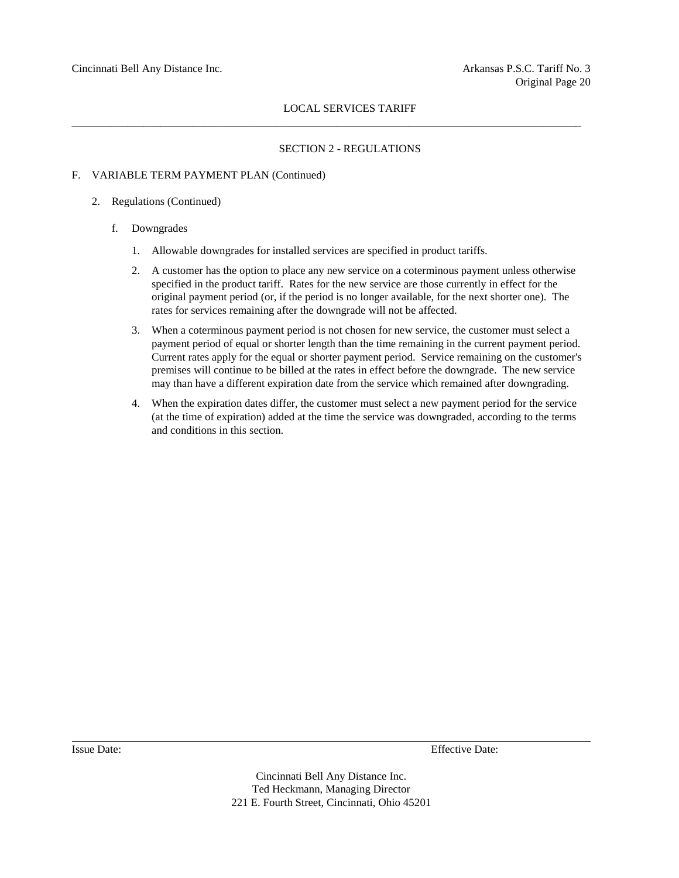$\_$  ,  $\_$  ,  $\_$  ,  $\_$  ,  $\_$  ,  $\_$  ,  $\_$  ,  $\_$  ,  $\_$  ,  $\_$  ,  $\_$  ,  $\_$  ,  $\_$  ,  $\_$  ,  $\_$  ,  $\_$  ,  $\_$  ,  $\_$  ,  $\_$  ,  $\_$  ,  $\_$  ,  $\_$  ,  $\_$  ,  $\_$  ,  $\_$  ,  $\_$  ,  $\_$  ,  $\_$  ,  $\_$  ,  $\_$  ,  $\_$  ,  $\_$  ,  $\_$  ,  $\_$  ,  $\_$  ,  $\_$  ,  $\_$  ,

#### SECTION 2 - REGULATIONS

#### F. VARIABLE TERM PAYMENT PLAN (Continued)

#### 2. Regulations (Continued)

- f. Downgrades
	- 1. Allowable downgrades for installed services are specified in product tariffs.
	- 2. A customer has the option to place any new service on a coterminous payment unless otherwise specified in the product tariff. Rates for the new service are those currently in effect for the original payment period (or, if the period is no longer available, for the next shorter one). The rates for services remaining after the downgrade will not be affected.
	- 3. When a coterminous payment period is not chosen for new service, the customer must select a payment period of equal or shorter length than the time remaining in the current payment period. Current rates apply for the equal or shorter payment period. Service remaining on the customer's premises will continue to be billed at the rates in effect before the downgrade. The new service may than have a different expiration date from the service which remained after downgrading.
	- 4. When the expiration dates differ, the customer must select a new payment period for the service (at the time of expiration) added at the time the service was downgraded, according to the terms and conditions in this section.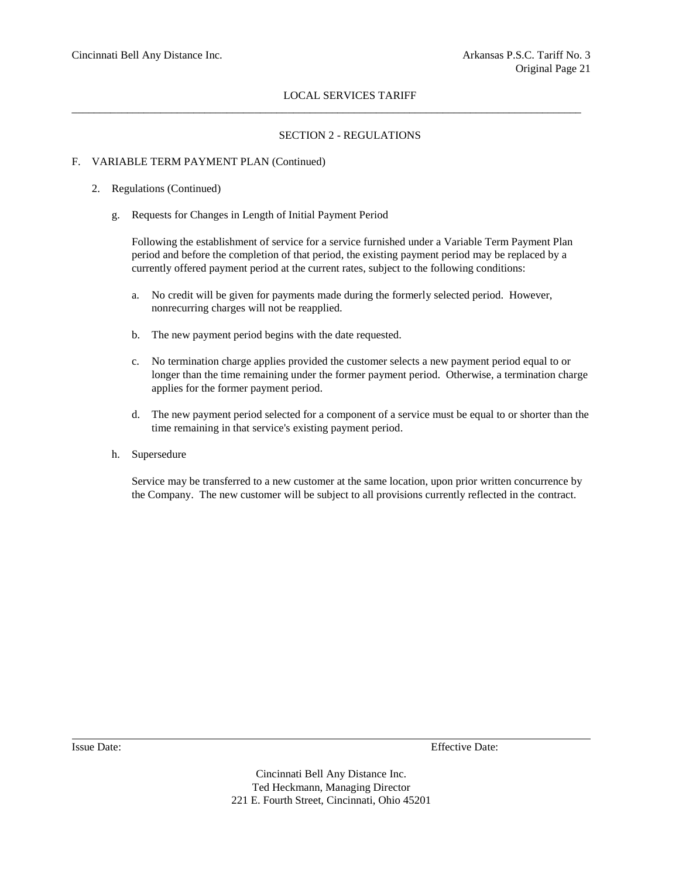$\_$  ,  $\_$  ,  $\_$  ,  $\_$  ,  $\_$  ,  $\_$  ,  $\_$  ,  $\_$  ,  $\_$  ,  $\_$  ,  $\_$  ,  $\_$  ,  $\_$  ,  $\_$  ,  $\_$  ,  $\_$  ,  $\_$  ,  $\_$  ,  $\_$  ,  $\_$  ,  $\_$  ,  $\_$  ,  $\_$  ,  $\_$  ,  $\_$  ,  $\_$  ,  $\_$  ,  $\_$  ,  $\_$  ,  $\_$  ,  $\_$  ,  $\_$  ,  $\_$  ,  $\_$  ,  $\_$  ,  $\_$  ,  $\_$  ,

## SECTION 2 - REGULATIONS

## F. VARIABLE TERM PAYMENT PLAN (Continued)

## 2. Regulations (Continued)

g. Requests for Changes in Length of Initial Payment Period

Following the establishment of service for a service furnished under a Variable Term Payment Plan period and before the completion of that period, the existing payment period may be replaced by a currently offered payment period at the current rates, subject to the following conditions:

- a. No credit will be given for payments made during the formerly selected period. However, nonrecurring charges will not be reapplied.
- b. The new payment period begins with the date requested.
- c. No termination charge applies provided the customer selects a new payment period equal to or longer than the time remaining under the former payment period. Otherwise, a termination charge applies for the former payment period.
- d. The new payment period selected for a component of a service must be equal to or shorter than the time remaining in that service's existing payment period.
- h. Supersedure

Service may be transferred to a new customer at the same location, upon prior written concurrence by the Company. The new customer will be subject to all provisions currently reflected in the contract.

Issue Date: Effective Date: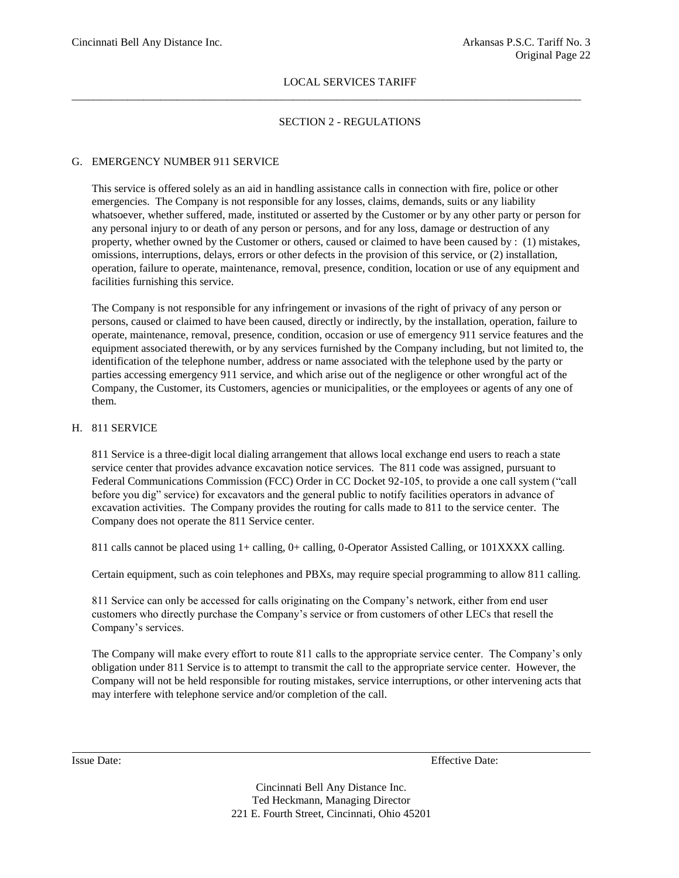$\_$  ,  $\_$  ,  $\_$  ,  $\_$  ,  $\_$  ,  $\_$  ,  $\_$  ,  $\_$  ,  $\_$  ,  $\_$  ,  $\_$  ,  $\_$  ,  $\_$  ,  $\_$  ,  $\_$  ,  $\_$  ,  $\_$  ,  $\_$  ,  $\_$  ,  $\_$  ,  $\_$  ,  $\_$  ,  $\_$  ,  $\_$  ,  $\_$  ,  $\_$  ,  $\_$  ,  $\_$  ,  $\_$  ,  $\_$  ,  $\_$  ,  $\_$  ,  $\_$  ,  $\_$  ,  $\_$  ,  $\_$  ,  $\_$  ,

## SECTION 2 - REGULATIONS

## G. EMERGENCY NUMBER 911 SERVICE

This service is offered solely as an aid in handling assistance calls in connection with fire, police or other emergencies. The Company is not responsible for any losses, claims, demands, suits or any liability whatsoever, whether suffered, made, instituted or asserted by the Customer or by any other party or person for any personal injury to or death of any person or persons, and for any loss, damage or destruction of any property, whether owned by the Customer or others, caused or claimed to have been caused by : (1) mistakes, omissions, interruptions, delays, errors or other defects in the provision of this service, or (2) installation, operation, failure to operate, maintenance, removal, presence, condition, location or use of any equipment and facilities furnishing this service.

The Company is not responsible for any infringement or invasions of the right of privacy of any person or persons, caused or claimed to have been caused, directly or indirectly, by the installation, operation, failure to operate, maintenance, removal, presence, condition, occasion or use of emergency 911 service features and the equipment associated therewith, or by any services furnished by the Company including, but not limited to, the identification of the telephone number, address or name associated with the telephone used by the party or parties accessing emergency 911 service, and which arise out of the negligence or other wrongful act of the Company, the Customer, its Customers, agencies or municipalities, or the employees or agents of any one of them.

### H. 811 SERVICE

811 Service is a three-digit local dialing arrangement that allows local exchange end users to reach a state service center that provides advance excavation notice services. The 811 code was assigned, pursuant to Federal Communications Commission (FCC) Order in CC Docket 92-105, to provide a one call system ("call before you dig" service) for excavators and the general public to notify facilities operators in advance of excavation activities. The Company provides the routing for calls made to 811 to the service center. The Company does not operate the 811 Service center.

811 calls cannot be placed using 1+ calling, 0+ calling, 0-Operator Assisted Calling, or 101XXXX calling.

Certain equipment, such as coin telephones and PBXs, may require special programming to allow 811 calling.

811 Service can only be accessed for calls originating on the Company's network, either from end user customers who directly purchase the Company's service or from customers of other LECs that resell the Company's services.

The Company will make every effort to route 811 calls to the appropriate service center. The Company's only obligation under 811 Service is to attempt to transmit the call to the appropriate service center. However, the Company will not be held responsible for routing mistakes, service interruptions, or other intervening acts that may interfere with telephone service and/or completion of the call.

Issue Date: Effective Date: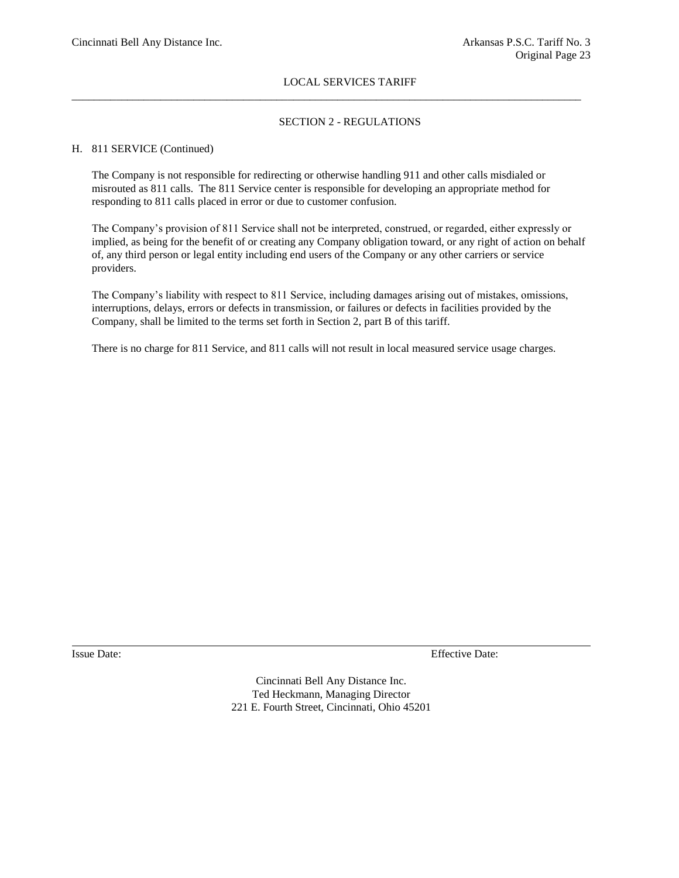## SECTION 2 - REGULATIONS

#### H. 811 SERVICE (Continued)

The Company is not responsible for redirecting or otherwise handling 911 and other calls misdialed or misrouted as 811 calls. The 811 Service center is responsible for developing an appropriate method for responding to 811 calls placed in error or due to customer confusion.

 $\_$  ,  $\_$  ,  $\_$  ,  $\_$  ,  $\_$  ,  $\_$  ,  $\_$  ,  $\_$  ,  $\_$  ,  $\_$  ,  $\_$  ,  $\_$  ,  $\_$  ,  $\_$  ,  $\_$  ,  $\_$  ,  $\_$  ,  $\_$  ,  $\_$  ,  $\_$  ,  $\_$  ,  $\_$  ,  $\_$  ,  $\_$  ,  $\_$  ,  $\_$  ,  $\_$  ,  $\_$  ,  $\_$  ,  $\_$  ,  $\_$  ,  $\_$  ,  $\_$  ,  $\_$  ,  $\_$  ,  $\_$  ,  $\_$  ,

The Company's provision of 811 Service shall not be interpreted, construed, or regarded, either expressly or implied, as being for the benefit of or creating any Company obligation toward, or any right of action on behalf of, any third person or legal entity including end users of the Company or any other carriers or service providers.

The Company's liability with respect to 811 Service, including damages arising out of mistakes, omissions, interruptions, delays, errors or defects in transmission, or failures or defects in facilities provided by the Company, shall be limited to the terms set forth in Section 2, part B of this tariff.

There is no charge for 811 Service, and 811 calls will not result in local measured service usage charges.

Issue Date: Effective Date: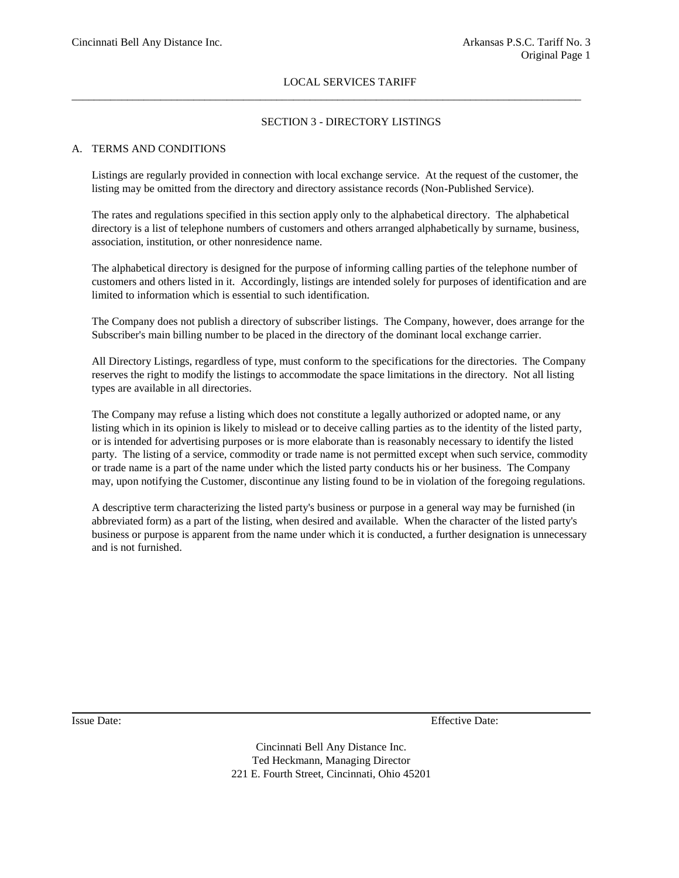$\_$  ,  $\_$  ,  $\_$  ,  $\_$  ,  $\_$  ,  $\_$  ,  $\_$  ,  $\_$  ,  $\_$  ,  $\_$  ,  $\_$  ,  $\_$  ,  $\_$  ,  $\_$  ,  $\_$  ,  $\_$  ,  $\_$  ,  $\_$  ,  $\_$  ,  $\_$  ,  $\_$  ,  $\_$  ,  $\_$  ,  $\_$  ,  $\_$  ,  $\_$  ,  $\_$  ,  $\_$  ,  $\_$  ,  $\_$  ,  $\_$  ,  $\_$  ,  $\_$  ,  $\_$  ,  $\_$  ,  $\_$  ,  $\_$  ,

## SECTION 3 - DIRECTORY LISTINGS

#### A. TERMS AND CONDITIONS

Listings are regularly provided in connection with local exchange service. At the request of the customer, the listing may be omitted from the directory and directory assistance records (Non-Published Service).

The rates and regulations specified in this section apply only to the alphabetical directory. The alphabetical directory is a list of telephone numbers of customers and others arranged alphabetically by surname, business, association, institution, or other nonresidence name.

The alphabetical directory is designed for the purpose of informing calling parties of the telephone number of customers and others listed in it. Accordingly, listings are intended solely for purposes of identification and are limited to information which is essential to such identification.

The Company does not publish a directory of subscriber listings. The Company, however, does arrange for the Subscriber's main billing number to be placed in the directory of the dominant local exchange carrier.

All Directory Listings, regardless of type, must conform to the specifications for the directories. The Company reserves the right to modify the listings to accommodate the space limitations in the directory. Not all listing types are available in all directories.

The Company may refuse a listing which does not constitute a legally authorized or adopted name, or any listing which in its opinion is likely to mislead or to deceive calling parties as to the identity of the listed party, or is intended for advertising purposes or is more elaborate than is reasonably necessary to identify the listed party. The listing of a service, commodity or trade name is not permitted except when such service, commodity or trade name is a part of the name under which the listed party conducts his or her business. The Company may, upon notifying the Customer, discontinue any listing found to be in violation of the foregoing regulations.

A descriptive term characterizing the listed party's business or purpose in a general way may be furnished (in abbreviated form) as a part of the listing, when desired and available. When the character of the listed party's business or purpose is apparent from the name under which it is conducted, a further designation is unnecessary and is not furnished.

Issue Date: Effective Date: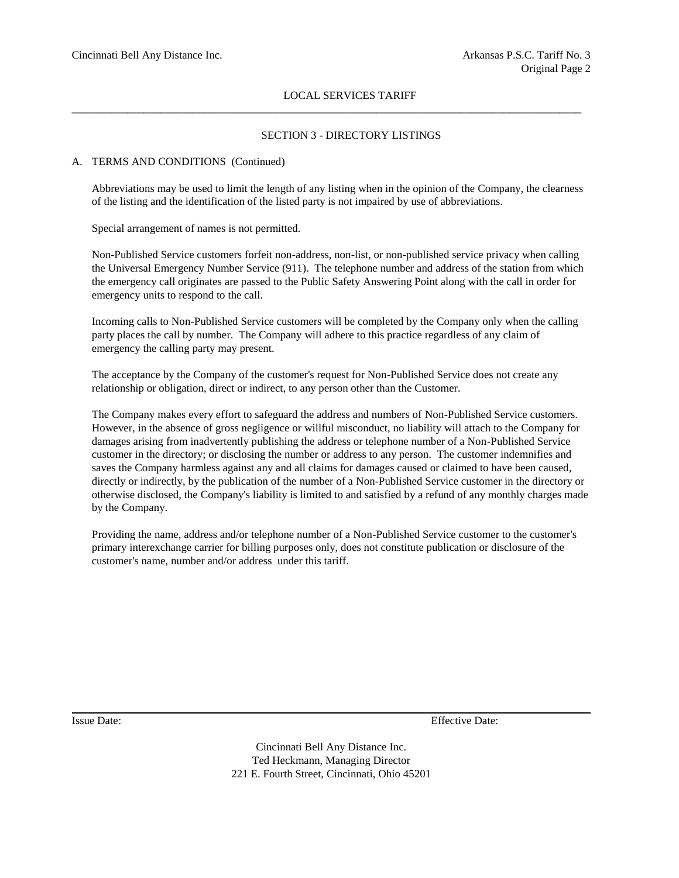$\_$  ,  $\_$  ,  $\_$  ,  $\_$  ,  $\_$  ,  $\_$  ,  $\_$  ,  $\_$  ,  $\_$  ,  $\_$  ,  $\_$  ,  $\_$  ,  $\_$  ,  $\_$  ,  $\_$  ,  $\_$  ,  $\_$  ,  $\_$  ,  $\_$  ,  $\_$  ,  $\_$  ,  $\_$  ,  $\_$  ,  $\_$  ,  $\_$  ,  $\_$  ,  $\_$  ,  $\_$  ,  $\_$  ,  $\_$  ,  $\_$  ,  $\_$  ,  $\_$  ,  $\_$  ,  $\_$  ,  $\_$  ,  $\_$  ,

## SECTION 3 - DIRECTORY LISTINGS

## A. TERMS AND CONDITIONS (Continued)

Abbreviations may be used to limit the length of any listing when in the opinion of the Company, the clearness of the listing and the identification of the listed party is not impaired by use of abbreviations.

Special arrangement of names is not permitted.

Non-Published Service customers forfeit non-address, non-list, or non-published service privacy when calling the Universal Emergency Number Service (911). The telephone number and address of the station from which the emergency call originates are passed to the Public Safety Answering Point along with the call in order for emergency units to respond to the call.

Incoming calls to Non-Published Service customers will be completed by the Company only when the calling party places the call by number. The Company will adhere to this practice regardless of any claim of emergency the calling party may present.

The acceptance by the Company of the customer's request for Non-Published Service does not create any relationship or obligation, direct or indirect, to any person other than the Customer.

The Company makes every effort to safeguard the address and numbers of Non-Published Service customers. However, in the absence of gross negligence or willful misconduct, no liability will attach to the Company for damages arising from inadvertently publishing the address or telephone number of a Non-Published Service customer in the directory; or disclosing the number or address to any person. The customer indemnifies and saves the Company harmless against any and all claims for damages caused or claimed to have been caused, directly or indirectly, by the publication of the number of a Non-Published Service customer in the directory or otherwise disclosed, the Company's liability is limited to and satisfied by a refund of any monthly charges made by the Company.

Providing the name, address and/or telephone number of a Non-Published Service customer to the customer's primary interexchange carrier for billing purposes only, does not constitute publication or disclosure of the customer's name, number and/or address under this tariff.

Issue Date: Effective Date: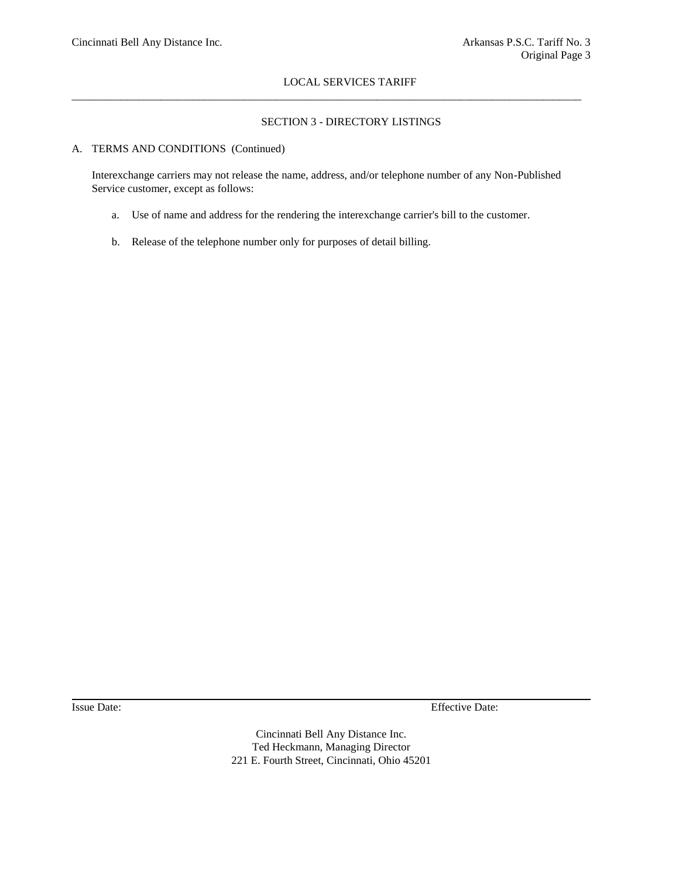## SECTION 3 - DIRECTORY LISTINGS

#### A. TERMS AND CONDITIONS (Continued)

Interexchange carriers may not release the name, address, and/or telephone number of any Non-Published Service customer, except as follows:

 $\_$  ,  $\_$  ,  $\_$  ,  $\_$  ,  $\_$  ,  $\_$  ,  $\_$  ,  $\_$  ,  $\_$  ,  $\_$  ,  $\_$  ,  $\_$  ,  $\_$  ,  $\_$  ,  $\_$  ,  $\_$  ,  $\_$  ,  $\_$  ,  $\_$  ,  $\_$  ,  $\_$  ,  $\_$  ,  $\_$  ,  $\_$  ,  $\_$  ,  $\_$  ,  $\_$  ,  $\_$  ,  $\_$  ,  $\_$  ,  $\_$  ,  $\_$  ,  $\_$  ,  $\_$  ,  $\_$  ,  $\_$  ,  $\_$  ,

- a. Use of name and address for the rendering the interexchange carrier's bill to the customer.
- b. Release of the telephone number only for purposes of detail billing.

Issue Date: Effective Date: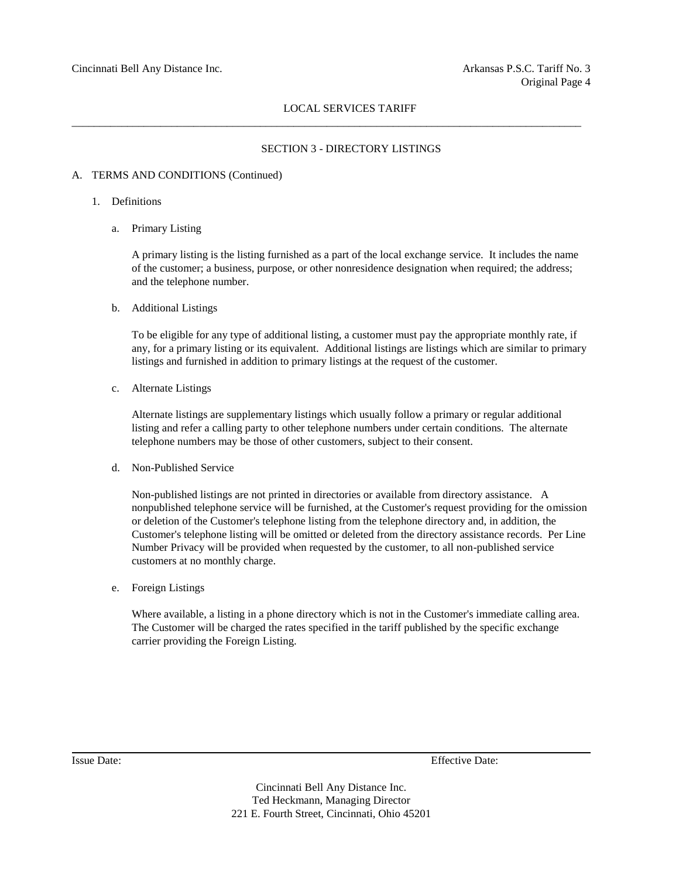\_\_\_\_\_\_\_\_\_\_\_\_\_\_\_\_\_\_\_\_\_\_\_\_\_\_\_\_\_\_\_\_\_\_\_\_\_\_\_\_\_\_\_\_\_\_\_\_\_\_\_\_\_\_\_\_\_\_\_\_\_\_\_\_\_\_\_\_\_\_\_\_\_\_\_\_\_\_\_\_\_\_\_\_\_\_\_\_\_\_\_\_

#### SECTION 3 - DIRECTORY LISTINGS

#### A. TERMS AND CONDITIONS (Continued)

- 1. Definitions
	- a. Primary Listing

A primary listing is the listing furnished as a part of the local exchange service. It includes the name of the customer; a business, purpose, or other nonresidence designation when required; the address; and the telephone number.

b. Additional Listings

To be eligible for any type of additional listing, a customer must pay the appropriate monthly rate, if any, for a primary listing or its equivalent. Additional listings are listings which are similar to primary listings and furnished in addition to primary listings at the request of the customer.

c. Alternate Listings

Alternate listings are supplementary listings which usually follow a primary or regular additional listing and refer a calling party to other telephone numbers under certain conditions. The alternate telephone numbers may be those of other customers, subject to their consent.

d. Non-Published Service

Non-published listings are not printed in directories or available from directory assistance. A nonpublished telephone service will be furnished, at the Customer's request providing for the omission or deletion of the Customer's telephone listing from the telephone directory and, in addition, the Customer's telephone listing will be omitted or deleted from the directory assistance records. Per Line Number Privacy will be provided when requested by the customer, to all non-published service customers at no monthly charge.

e. Foreign Listings

Where available, a listing in a phone directory which is not in the Customer's immediate calling area. The Customer will be charged the rates specified in the tariff published by the specific exchange carrier providing the Foreign Listing.

Issue Date: Effective Date: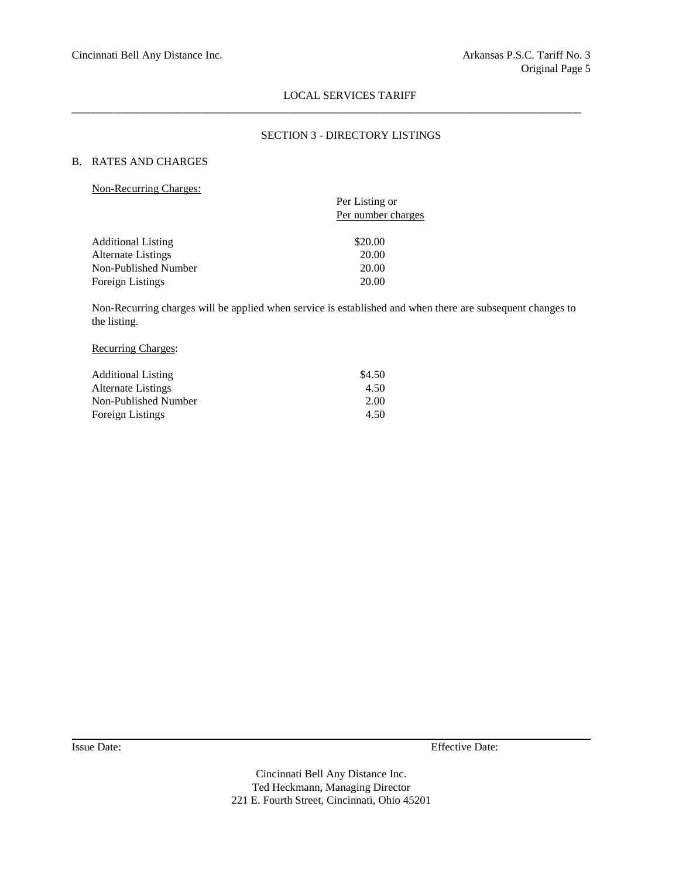$\_$  ,  $\_$  ,  $\_$  ,  $\_$  ,  $\_$  ,  $\_$  ,  $\_$  ,  $\_$  ,  $\_$  ,  $\_$  ,  $\_$  ,  $\_$  ,  $\_$  ,  $\_$  ,  $\_$  ,  $\_$  ,  $\_$  ,  $\_$  ,  $\_$  ,  $\_$  ,  $\_$  ,  $\_$  ,  $\_$  ,  $\_$  ,  $\_$  ,  $\_$  ,  $\_$  ,  $\_$  ,  $\_$  ,  $\_$  ,  $\_$  ,  $\_$  ,  $\_$  ,  $\_$  ,  $\_$  ,  $\_$  ,  $\_$  ,

## SECTION 3 - DIRECTORY LISTINGS

## B. RATES AND CHARGES

| Non-Recurring Charges: |  |
|------------------------|--|
|                        |  |

| $1.011$ and $0.01111$ and $0.0111$ and $0.011$ |                    |  |  |  |
|------------------------------------------------|--------------------|--|--|--|
|                                                | Per Listing or     |  |  |  |
|                                                | Per number charges |  |  |  |
|                                                |                    |  |  |  |
| <b>Additional Listing</b>                      | \$20.00            |  |  |  |
| Alternate Listings                             | 20.00              |  |  |  |
| Non-Published Number                           | 20.00              |  |  |  |
| Foreign Listings                               | 20.00              |  |  |  |
|                                                |                    |  |  |  |

Non-Recurring charges will be applied when service is established and when there are subsequent changes to the listing.

## Recurring Charges:

| <b>Additional Listing</b> | \$4.50 |
|---------------------------|--------|
| Alternate Listings        | 4.50   |
| Non-Published Number      | 2.00   |
| Foreign Listings          | 4.50   |

Issue Date: Effective Date: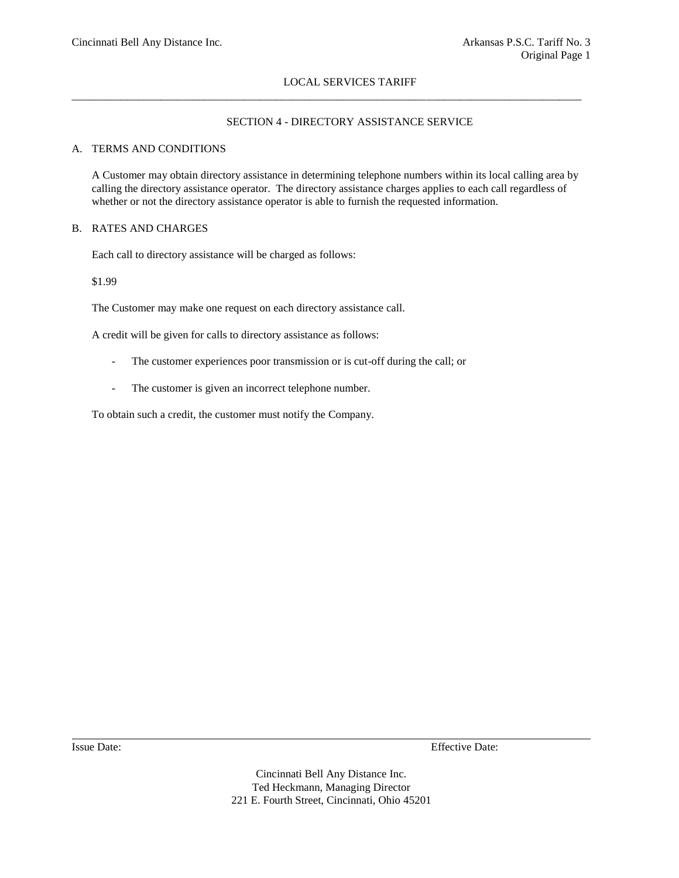\_\_\_\_\_\_\_\_\_\_\_\_\_\_\_\_\_\_\_\_\_\_\_\_\_\_\_\_\_\_\_\_\_\_\_\_\_\_\_\_\_\_\_\_\_\_\_\_\_\_\_\_\_\_\_\_\_\_\_\_\_\_\_\_\_\_\_\_\_\_\_\_\_\_\_\_\_\_\_\_\_\_\_\_\_\_\_\_\_\_\_\_

## SECTION 4 - DIRECTORY ASSISTANCE SERVICE

## A. TERMS AND CONDITIONS

A Customer may obtain directory assistance in determining telephone numbers within its local calling area by calling the directory assistance operator. The directory assistance charges applies to each call regardless of whether or not the directory assistance operator is able to furnish the requested information.

#### B. RATES AND CHARGES

Each call to directory assistance will be charged as follows:

\$1.99

The Customer may make one request on each directory assistance call.

A credit will be given for calls to directory assistance as follows:

- The customer experiences poor transmission or is cut-off during the call; or
- The customer is given an incorrect telephone number.

To obtain such a credit, the customer must notify the Company.

Issue Date: Effective Date: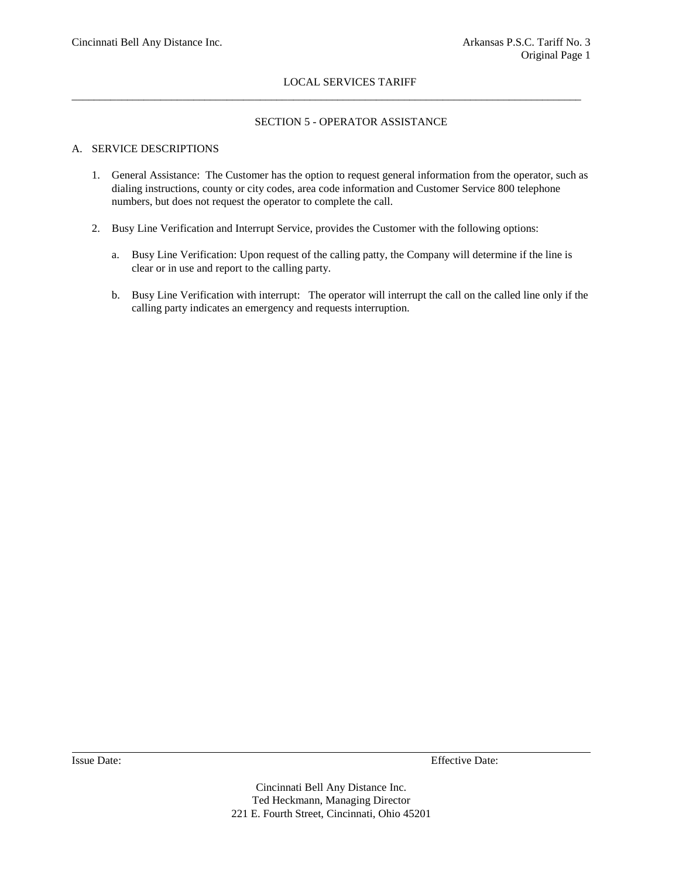$\_$  ,  $\_$  ,  $\_$  ,  $\_$  ,  $\_$  ,  $\_$  ,  $\_$  ,  $\_$  ,  $\_$  ,  $\_$  ,  $\_$  ,  $\_$  ,  $\_$  ,  $\_$  ,  $\_$  ,  $\_$  ,  $\_$  ,  $\_$  ,  $\_$  ,  $\_$  ,  $\_$  ,  $\_$  ,  $\_$  ,  $\_$  ,  $\_$  ,  $\_$  ,  $\_$  ,  $\_$  ,  $\_$  ,  $\_$  ,  $\_$  ,  $\_$  ,  $\_$  ,  $\_$  ,  $\_$  ,  $\_$  ,  $\_$  ,

## SECTION 5 - OPERATOR ASSISTANCE

## A. SERVICE DESCRIPTIONS

- 1. General Assistance: The Customer has the option to request general information from the operator, such as dialing instructions, county or city codes, area code information and Customer Service 800 telephone numbers, but does not request the operator to complete the call.
- 2. Busy Line Verification and Interrupt Service, provides the Customer with the following options:
	- a. Busy Line Verification: Upon request of the calling patty, the Company will determine if the line is clear or in use and report to the calling party.
	- b. Busy Line Verification with interrupt: The operator will interrupt the call on the called line only if the calling party indicates an emergency and requests interruption.

Issue Date: Effective Date: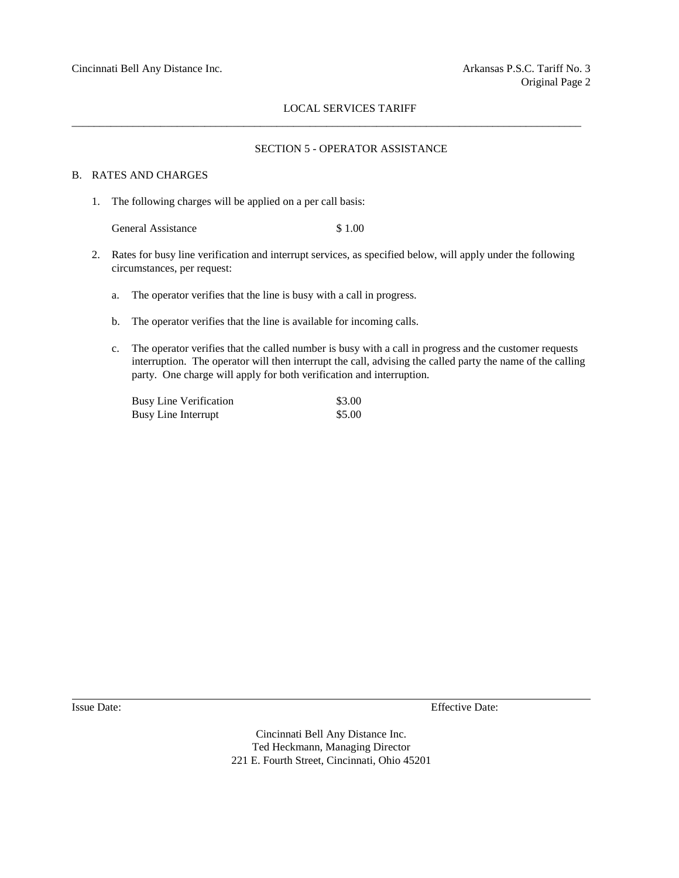$\_$  ,  $\_$  ,  $\_$  ,  $\_$  ,  $\_$  ,  $\_$  ,  $\_$  ,  $\_$  ,  $\_$  ,  $\_$  ,  $\_$  ,  $\_$  ,  $\_$  ,  $\_$  ,  $\_$  ,  $\_$  ,  $\_$  ,  $\_$  ,  $\_$  ,  $\_$  ,  $\_$  ,  $\_$  ,  $\_$  ,  $\_$  ,  $\_$  ,  $\_$  ,  $\_$  ,  $\_$  ,  $\_$  ,  $\_$  ,  $\_$  ,  $\_$  ,  $\_$  ,  $\_$  ,  $\_$  ,  $\_$  ,  $\_$  ,

#### SECTION 5 - OPERATOR ASSISTANCE

#### B. RATES AND CHARGES

1. The following charges will be applied on a per call basis:

General Assistance \$ 1.00

- 2. Rates for busy line verification and interrupt services, as specified below, will apply under the following circumstances, per request:
	- a. The operator verifies that the line is busy with a call in progress.
	- b. The operator verifies that the line is available for incoming calls.
	- c. The operator verifies that the called number is busy with a call in progress and the customer requests interruption. The operator will then interrupt the call, advising the called party the name of the calling party. One charge will apply for both verification and interruption.

| <b>Busy Line Verification</b> | \$3.00 |
|-------------------------------|--------|
| Busy Line Interrupt           | \$5.00 |

Issue Date: Effective Date: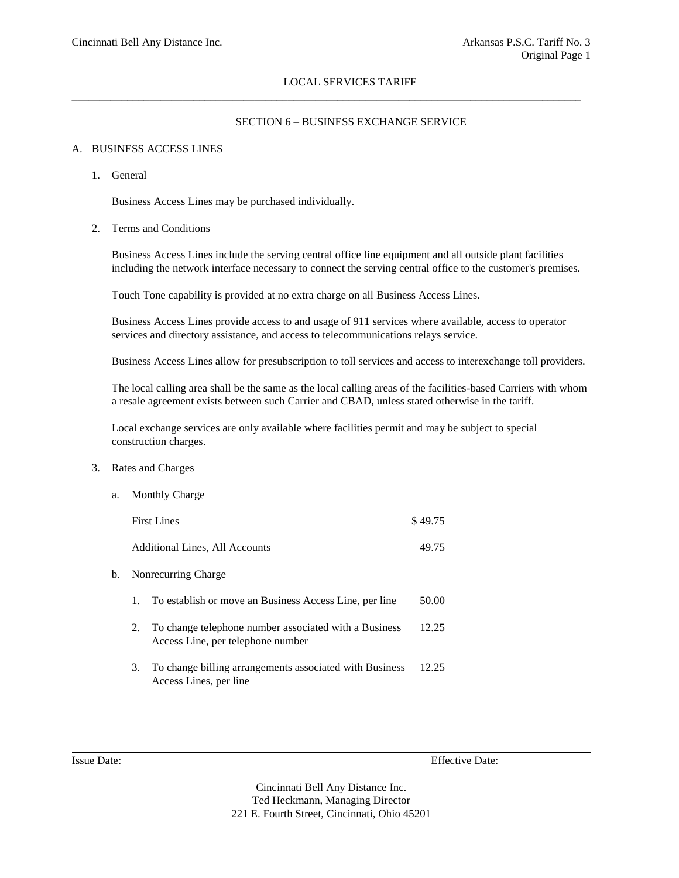$\_$  ,  $\_$  ,  $\_$  ,  $\_$  ,  $\_$  ,  $\_$  ,  $\_$  ,  $\_$  ,  $\_$  ,  $\_$  ,  $\_$  ,  $\_$  ,  $\_$  ,  $\_$  ,  $\_$  ,  $\_$  ,  $\_$  ,  $\_$  ,  $\_$  ,  $\_$  ,  $\_$  ,  $\_$  ,  $\_$  ,  $\_$  ,  $\_$  ,  $\_$  ,  $\_$  ,  $\_$  ,  $\_$  ,  $\_$  ,  $\_$  ,  $\_$  ,  $\_$  ,  $\_$  ,  $\_$  ,  $\_$  ,  $\_$  ,

#### SECTION 6 – BUSINESS EXCHANGE SERVICE

#### A. BUSINESS ACCESS LINES

1. General

Business Access Lines may be purchased individually.

2. Terms and Conditions

Business Access Lines include the serving central office line equipment and all outside plant facilities including the network interface necessary to connect the serving central office to the customer's premises.

Touch Tone capability is provided at no extra charge on all Business Access Lines.

Business Access Lines provide access to and usage of 911 services where available, access to operator services and directory assistance, and access to telecommunications relays service.

Business Access Lines allow for presubscription to toll services and access to interexchange toll providers.

The local calling area shall be the same as the local calling areas of the facilities-based Carriers with whom a resale agreement exists between such Carrier and CBAD, unless stated otherwise in the tariff.

Local exchange services are only available where facilities permit and may be subject to special construction charges.

- 3. Rates and Charges
	- a. Monthly Charge First Lines  $\$$  49.75 Additional Lines, All Accounts 49.75 b. Nonrecurring Charge 1. To establish or move an Business Access Line, per line 50.00 2. To change telephone number associated with a Business 12.25 Access Line, per telephone number 3. To change billing arrangements associated with Business 12.25 Access Lines, per line

Issue Date: Effective Date: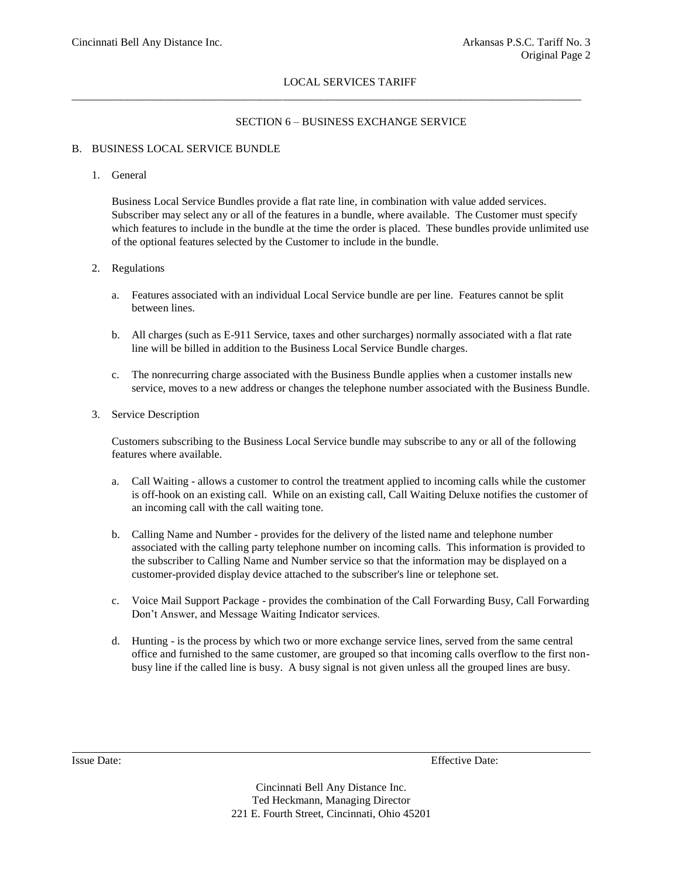\_\_\_\_\_\_\_\_\_\_\_\_\_\_\_\_\_\_\_\_\_\_\_\_\_\_\_\_\_\_\_\_\_\_\_\_\_\_\_\_\_\_\_\_\_\_\_\_\_\_\_\_\_\_\_\_\_\_\_\_\_\_\_\_\_\_\_\_\_\_\_\_\_\_\_\_\_\_\_\_\_\_\_\_\_\_\_\_\_\_\_\_

## SECTION 6 – BUSINESS EXCHANGE SERVICE

## B. BUSINESS LOCAL SERVICE BUNDLE

#### 1. General

Business Local Service Bundles provide a flat rate line, in combination with value added services. Subscriber may select any or all of the features in a bundle, where available. The Customer must specify which features to include in the bundle at the time the order is placed. These bundles provide unlimited use of the optional features selected by the Customer to include in the bundle.

#### 2. Regulations

- a. Features associated with an individual Local Service bundle are per line. Features cannot be split between lines.
- b. All charges (such as E-911 Service, taxes and other surcharges) normally associated with a flat rate line will be billed in addition to the Business Local Service Bundle charges.
- c. The nonrecurring charge associated with the Business Bundle applies when a customer installs new service, moves to a new address or changes the telephone number associated with the Business Bundle.
- 3. Service Description

Customers subscribing to the Business Local Service bundle may subscribe to any or all of the following features where available.

- a. Call Waiting allows a customer to control the treatment applied to incoming calls while the customer is off-hook on an existing call. While on an existing call, Call Waiting Deluxe notifies the customer of an incoming call with the call waiting tone.
- b. Calling Name and Number provides for the delivery of the listed name and telephone number associated with the calling party telephone number on incoming calls. This information is provided to the subscriber to Calling Name and Number service so that the information may be displayed on a customer-provided display device attached to the subscriber's line or telephone set.
- c. Voice Mail Support Package provides the combination of the Call Forwarding Busy, Call Forwarding Don't Answer, and Message Waiting Indicator services.
- d. Hunting is the process by which two or more exchange service lines, served from the same central office and furnished to the same customer, are grouped so that incoming calls overflow to the first nonbusy line if the called line is busy. A busy signal is not given unless all the grouped lines are busy.

Issue Date: Effective Date: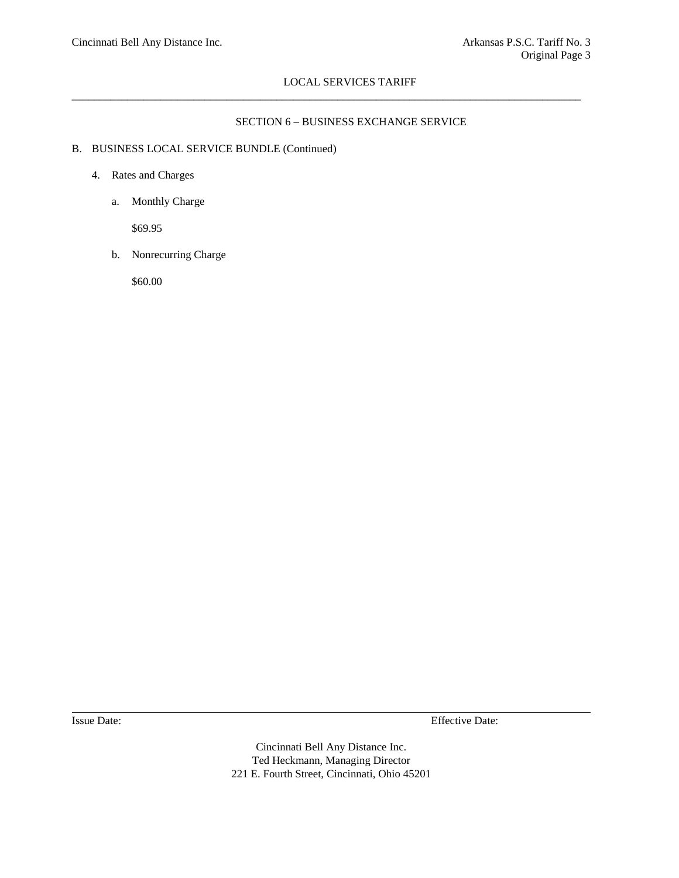$\_$  ,  $\_$  ,  $\_$  ,  $\_$  ,  $\_$  ,  $\_$  ,  $\_$  ,  $\_$  ,  $\_$  ,  $\_$  ,  $\_$  ,  $\_$  ,  $\_$  ,  $\_$  ,  $\_$  ,  $\_$  ,  $\_$  ,  $\_$  ,  $\_$  ,  $\_$  ,  $\_$  ,  $\_$  ,  $\_$  ,  $\_$  ,  $\_$  ,  $\_$  ,  $\_$  ,  $\_$  ,  $\_$  ,  $\_$  ,  $\_$  ,  $\_$  ,  $\_$  ,  $\_$  ,  $\_$  ,  $\_$  ,  $\_$  ,

## SECTION 6 – BUSINESS EXCHANGE SERVICE

## B. BUSINESS LOCAL SERVICE BUNDLE (Continued)

- 4. Rates and Charges
	- a. Monthly Charge

\$69.95

b. Nonrecurring Charge

\$60.00

Issue Date: Effective Date: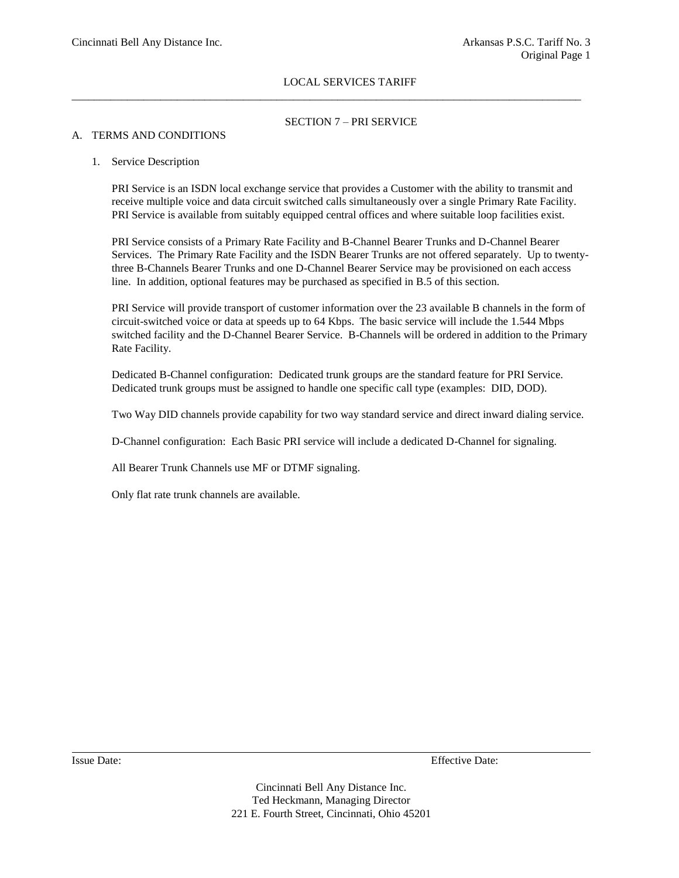$\_$  ,  $\_$  ,  $\_$  ,  $\_$  ,  $\_$  ,  $\_$  ,  $\_$  ,  $\_$  ,  $\_$  ,  $\_$  ,  $\_$  ,  $\_$  ,  $\_$  ,  $\_$  ,  $\_$  ,  $\_$  ,  $\_$  ,  $\_$  ,  $\_$  ,  $\_$  ,  $\_$  ,  $\_$  ,  $\_$  ,  $\_$  ,  $\_$  ,  $\_$  ,  $\_$  ,  $\_$  ,  $\_$  ,  $\_$  ,  $\_$  ,  $\_$  ,  $\_$  ,  $\_$  ,  $\_$  ,  $\_$  ,  $\_$  ,

## SECTION 7 – PRI SERVICE

## A. TERMS AND CONDITIONS

#### 1. Service Description

PRI Service is an ISDN local exchange service that provides a Customer with the ability to transmit and receive multiple voice and data circuit switched calls simultaneously over a single Primary Rate Facility. PRI Service is available from suitably equipped central offices and where suitable loop facilities exist.

PRI Service consists of a Primary Rate Facility and B-Channel Bearer Trunks and D-Channel Bearer Services. The Primary Rate Facility and the ISDN Bearer Trunks are not offered separately. Up to twentythree B-Channels Bearer Trunks and one D-Channel Bearer Service may be provisioned on each access line. In addition, optional features may be purchased as specified in B.5 of this section.

PRI Service will provide transport of customer information over the 23 available B channels in the form of circuit-switched voice or data at speeds up to 64 Kbps. The basic service will include the 1.544 Mbps switched facility and the D-Channel Bearer Service. B-Channels will be ordered in addition to the Primary Rate Facility.

Dedicated B-Channel configuration: Dedicated trunk groups are the standard feature for PRI Service. Dedicated trunk groups must be assigned to handle one specific call type (examples: DID, DOD).

Two Way DID channels provide capability for two way standard service and direct inward dialing service.

D-Channel configuration: Each Basic PRI service will include a dedicated D-Channel for signaling.

All Bearer Trunk Channels use MF or DTMF signaling.

Only flat rate trunk channels are available.

Issue Date: Effective Date: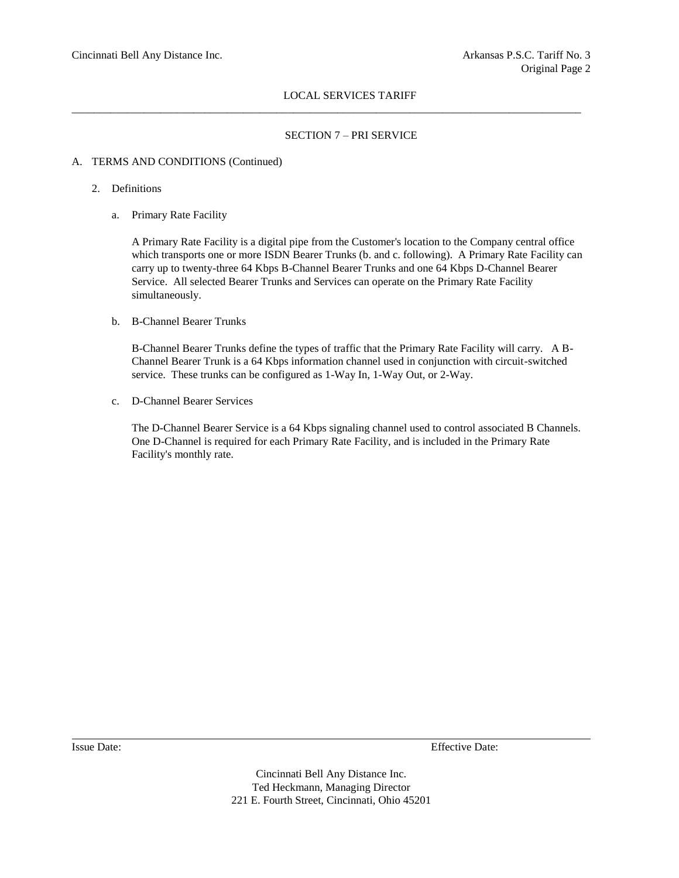$\_$  ,  $\_$  ,  $\_$  ,  $\_$  ,  $\_$  ,  $\_$  ,  $\_$  ,  $\_$  ,  $\_$  ,  $\_$  ,  $\_$  ,  $\_$  ,  $\_$  ,  $\_$  ,  $\_$  ,  $\_$  ,  $\_$  ,  $\_$  ,  $\_$  ,  $\_$  ,  $\_$  ,  $\_$  ,  $\_$  ,  $\_$  ,  $\_$  ,  $\_$  ,  $\_$  ,  $\_$  ,  $\_$  ,  $\_$  ,  $\_$  ,  $\_$  ,  $\_$  ,  $\_$  ,  $\_$  ,  $\_$  ,  $\_$  ,

## SECTION 7 – PRI SERVICE

## A. TERMS AND CONDITIONS (Continued)

- 2. Definitions
	- a. Primary Rate Facility

A Primary Rate Facility is a digital pipe from the Customer's location to the Company central office which transports one or more ISDN Bearer Trunks (b. and c. following). A Primary Rate Facility can carry up to twenty-three 64 Kbps B-Channel Bearer Trunks and one 64 Kbps D-Channel Bearer Service. All selected Bearer Trunks and Services can operate on the Primary Rate Facility simultaneously.

b. B-Channel Bearer Trunks

B-Channel Bearer Trunks define the types of traffic that the Primary Rate Facility will carry. A B-Channel Bearer Trunk is a 64 Kbps information channel used in conjunction with circuit-switched service. These trunks can be configured as 1-Way In, 1-Way Out, or 2-Way.

c. D-Channel Bearer Services

The D-Channel Bearer Service is a 64 Kbps signaling channel used to control associated B Channels. One D-Channel is required for each Primary Rate Facility, and is included in the Primary Rate Facility's monthly rate.

Issue Date: Effective Date: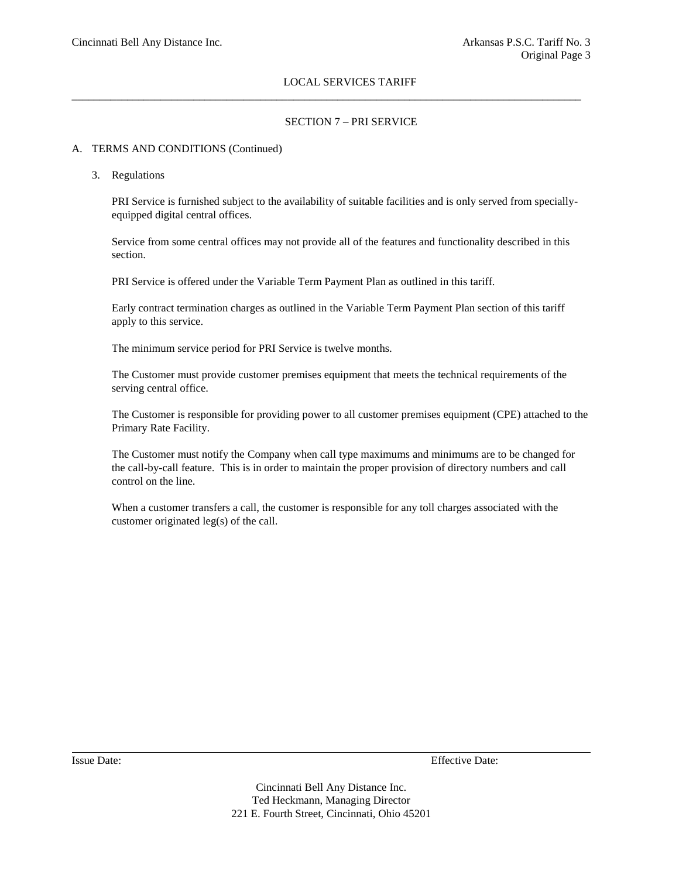$\_$  ,  $\_$  ,  $\_$  ,  $\_$  ,  $\_$  ,  $\_$  ,  $\_$  ,  $\_$  ,  $\_$  ,  $\_$  ,  $\_$  ,  $\_$  ,  $\_$  ,  $\_$  ,  $\_$  ,  $\_$  ,  $\_$  ,  $\_$  ,  $\_$  ,  $\_$  ,  $\_$  ,  $\_$  ,  $\_$  ,  $\_$  ,  $\_$  ,  $\_$  ,  $\_$  ,  $\_$  ,  $\_$  ,  $\_$  ,  $\_$  ,  $\_$  ,  $\_$  ,  $\_$  ,  $\_$  ,  $\_$  ,  $\_$  ,

## SECTION 7 – PRI SERVICE

## A. TERMS AND CONDITIONS (Continued)

3. Regulations

PRI Service is furnished subject to the availability of suitable facilities and is only served from speciallyequipped digital central offices.

Service from some central offices may not provide all of the features and functionality described in this section.

PRI Service is offered under the Variable Term Payment Plan as outlined in this tariff.

Early contract termination charges as outlined in the Variable Term Payment Plan section of this tariff apply to this service.

The minimum service period for PRI Service is twelve months.

The Customer must provide customer premises equipment that meets the technical requirements of the serving central office.

The Customer is responsible for providing power to all customer premises equipment (CPE) attached to the Primary Rate Facility.

The Customer must notify the Company when call type maximums and minimums are to be changed for the call-by-call feature. This is in order to maintain the proper provision of directory numbers and call control on the line.

When a customer transfers a call, the customer is responsible for any toll charges associated with the customer originated leg(s) of the call.

Issue Date: Effective Date: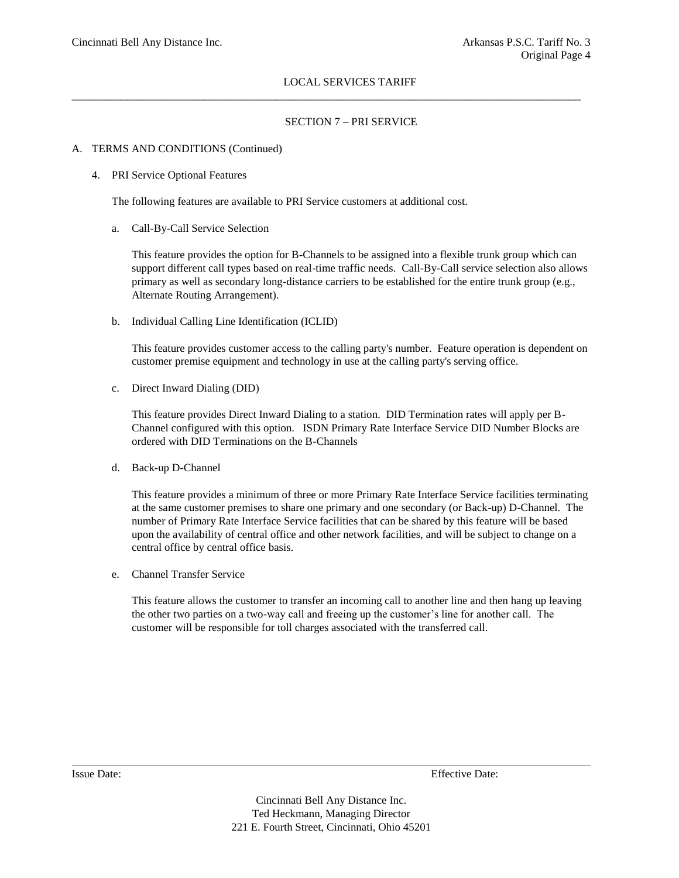$\_$  ,  $\_$  ,  $\_$  ,  $\_$  ,  $\_$  ,  $\_$  ,  $\_$  ,  $\_$  ,  $\_$  ,  $\_$  ,  $\_$  ,  $\_$  ,  $\_$  ,  $\_$  ,  $\_$  ,  $\_$  ,  $\_$  ,  $\_$  ,  $\_$  ,  $\_$  ,  $\_$  ,  $\_$  ,  $\_$  ,  $\_$  ,  $\_$  ,  $\_$  ,  $\_$  ,  $\_$  ,  $\_$  ,  $\_$  ,  $\_$  ,  $\_$  ,  $\_$  ,  $\_$  ,  $\_$  ,  $\_$  ,  $\_$  ,

## SECTION 7 – PRI SERVICE

#### A. TERMS AND CONDITIONS (Continued)

## 4. PRI Service Optional Features

The following features are available to PRI Service customers at additional cost.

a. Call-By-Call Service Selection

This feature provides the option for B-Channels to be assigned into a flexible trunk group which can support different call types based on real-time traffic needs. Call-By-Call service selection also allows primary as well as secondary long-distance carriers to be established for the entire trunk group (e.g., Alternate Routing Arrangement).

b. Individual Calling Line Identification (ICLID)

This feature provides customer access to the calling party's number. Feature operation is dependent on customer premise equipment and technology in use at the calling party's serving office.

c. Direct Inward Dialing (DID)

This feature provides Direct Inward Dialing to a station. DID Termination rates will apply per B-Channel configured with this option. ISDN Primary Rate Interface Service DID Number Blocks are ordered with DID Terminations on the B-Channels

d. Back-up D-Channel

This feature provides a minimum of three or more Primary Rate Interface Service facilities terminating at the same customer premises to share one primary and one secondary (or Back-up) D-Channel. The number of Primary Rate Interface Service facilities that can be shared by this feature will be based upon the availability of central office and other network facilities, and will be subject to change on a central office by central office basis.

e. Channel Transfer Service

This feature allows the customer to transfer an incoming call to another line and then hang up leaving the other two parties on a two-way call and freeing up the customer's line for another call. The customer will be responsible for toll charges associated with the transferred call.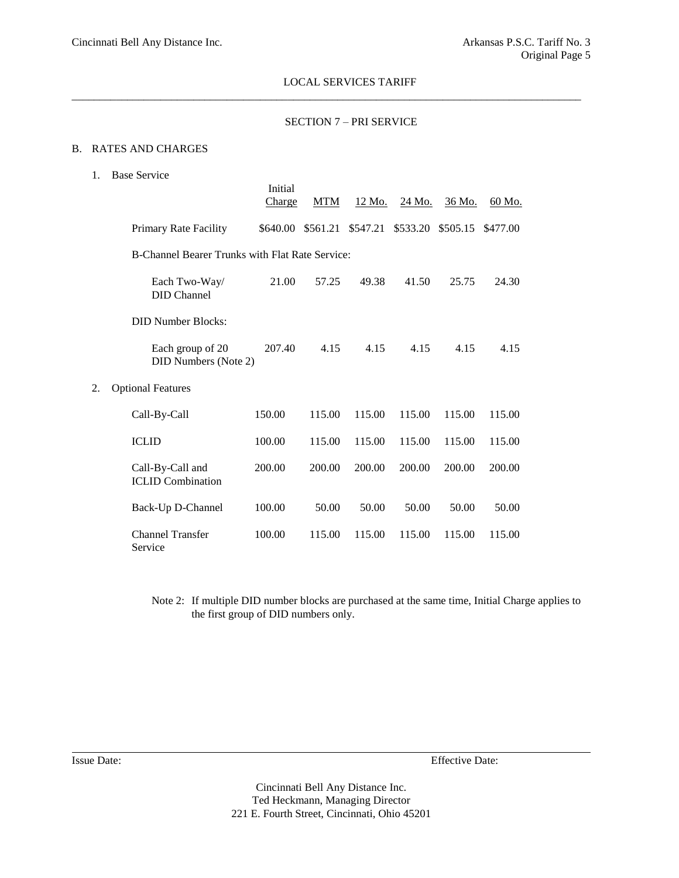$\_$  ,  $\_$  ,  $\_$  ,  $\_$  ,  $\_$  ,  $\_$  ,  $\_$  ,  $\_$  ,  $\_$  ,  $\_$  ,  $\_$  ,  $\_$  ,  $\_$  ,  $\_$  ,  $\_$  ,  $\_$  ,  $\_$  ,  $\_$  ,  $\_$  ,  $\_$  ,  $\_$  ,  $\_$  ,  $\_$  ,  $\_$  ,  $\_$  ,  $\_$  ,  $\_$  ,  $\_$  ,  $\_$  ,  $\_$  ,  $\_$  ,  $\_$  ,  $\_$  ,  $\_$  ,  $\_$  ,  $\_$  ,  $\_$  ,

## SECTION 7 – PRI SERVICE

#### B. RATES AND CHARGES

1. Base Service

|    |                                                 | Initial<br>Charge | <b>MTM</b> | 12 Mo.   | 24 Mo.   | 36 Mo.   | 60 Mo.   |
|----|-------------------------------------------------|-------------------|------------|----------|----------|----------|----------|
|    | Primary Rate Facility                           | \$640.00          | \$561.21   | \$547.21 | \$533.20 | \$505.15 | \$477.00 |
|    | B-Channel Bearer Trunks with Flat Rate Service: |                   |            |          |          |          |          |
|    | Each Two-Way/<br><b>DID</b> Channel             | 21.00             | 57.25      | 49.38    | 41.50    | 25.75    | 24.30    |
|    | <b>DID Number Blocks:</b>                       |                   |            |          |          |          |          |
|    | Each group of 20<br>DID Numbers (Note 2)        | 207.40            | 4.15       | 4.15     | 4.15     | 4.15     | 4.15     |
| 2. | <b>Optional Features</b>                        |                   |            |          |          |          |          |
|    | Call-By-Call                                    | 150.00            | 115.00     | 115.00   | 115.00   | 115.00   | 115.00   |
|    | <b>ICLID</b>                                    | 100.00            | 115.00     | 115.00   | 115.00   | 115.00   | 115.00   |
|    | Call-By-Call and<br><b>ICLID</b> Combination    | 200.00            | 200.00     | 200.00   | 200.00   | 200.00   | 200.00   |
|    | Back-Up D-Channel                               | 100.00            | 50.00      | 50.00    | 50.00    | 50.00    | 50.00    |
|    | <b>Channel Transfer</b><br>Service              | 100.00            | 115.00     | 115.00   | 115.00   | 115.00   | 115.00   |

Note 2: If multiple DID number blocks are purchased at the same time, Initial Charge applies to the first group of DID numbers only.

Issue Date: Effective Date: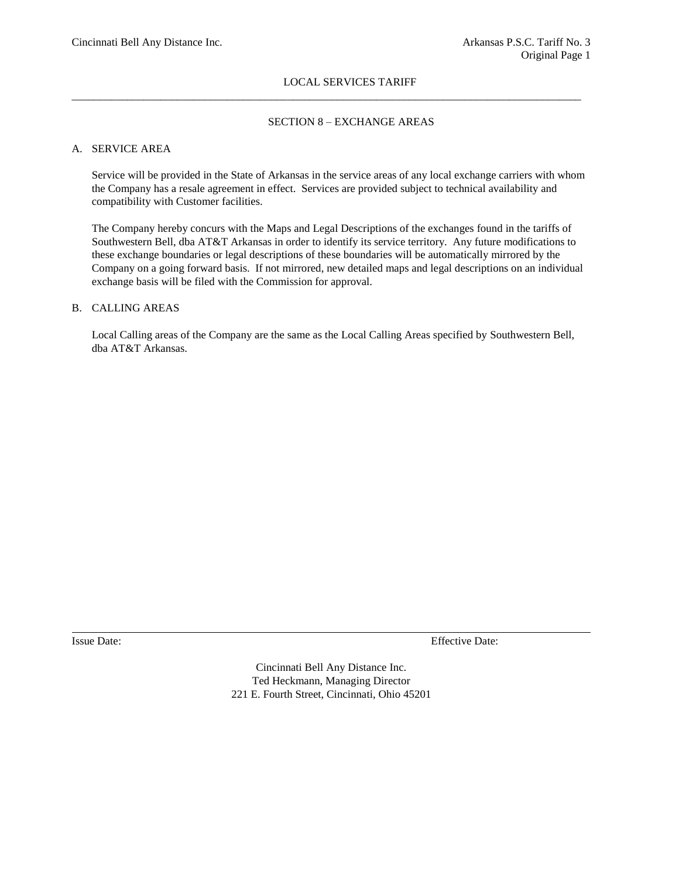$\_$  ,  $\_$  ,  $\_$  ,  $\_$  ,  $\_$  ,  $\_$  ,  $\_$  ,  $\_$  ,  $\_$  ,  $\_$  ,  $\_$  ,  $\_$  ,  $\_$  ,  $\_$  ,  $\_$  ,  $\_$  ,  $\_$  ,  $\_$  ,  $\_$  ,  $\_$  ,  $\_$  ,  $\_$  ,  $\_$  ,  $\_$  ,  $\_$  ,  $\_$  ,  $\_$  ,  $\_$  ,  $\_$  ,  $\_$  ,  $\_$  ,  $\_$  ,  $\_$  ,  $\_$  ,  $\_$  ,  $\_$  ,  $\_$  ,

## SECTION 8 – EXCHANGE AREAS

#### A. SERVICE AREA

Service will be provided in the State of Arkansas in the service areas of any local exchange carriers with whom the Company has a resale agreement in effect. Services are provided subject to technical availability and compatibility with Customer facilities.

The Company hereby concurs with the Maps and Legal Descriptions of the exchanges found in the tariffs of Southwestern Bell, dba AT&T Arkansas in order to identify its service territory. Any future modifications to these exchange boundaries or legal descriptions of these boundaries will be automatically mirrored by the Company on a going forward basis. If not mirrored, new detailed maps and legal descriptions on an individual exchange basis will be filed with the Commission for approval.

## B. CALLING AREAS

Local Calling areas of the Company are the same as the Local Calling Areas specified by Southwestern Bell, dba AT&T Arkansas.

Issue Date: Effective Date: